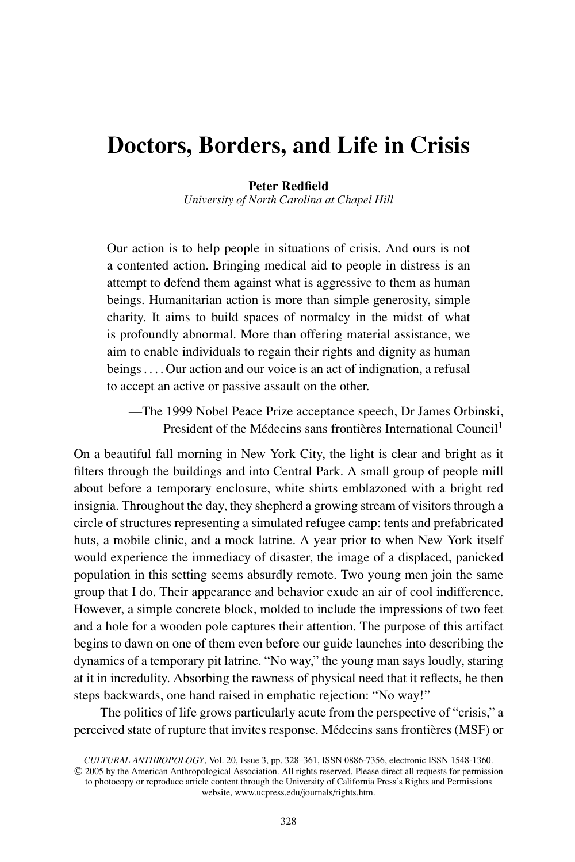# **Doctors, Borders, and Life in Crisis**

### **Peter Redfield**

*University of North Carolina at Chapel Hill*

Our action is to help people in situations of crisis. And ours is not a contented action. Bringing medical aid to people in distress is an attempt to defend them against what is aggressive to them as human beings. Humanitarian action is more than simple generosity, simple charity. It aims to build spaces of normalcy in the midst of what is profoundly abnormal. More than offering material assistance, we aim to enable individuals to regain their rights and dignity as human beings . . . . Our action and our voice is an act of indignation, a refusal to accept an active or passive assault on the other.

—The 1999 Nobel Peace Prize acceptance speech, Dr James Orbinski, President of the Médecins sans frontières International Council<sup>1</sup>

On a beautiful fall morning in New York City, the light is clear and bright as it filters through the buildings and into Central Park. A small group of people mill about before a temporary enclosure, white shirts emblazoned with a bright red insignia. Throughout the day, they shepherd a growing stream of visitors through a circle of structures representing a simulated refugee camp: tents and prefabricated huts, a mobile clinic, and a mock latrine. A year prior to when New York itself would experience the immediacy of disaster, the image of a displaced, panicked population in this setting seems absurdly remote. Two young men join the same group that I do. Their appearance and behavior exude an air of cool indifference. However, a simple concrete block, molded to include the impressions of two feet and a hole for a wooden pole captures their attention. The purpose of this artifact begins to dawn on one of them even before our guide launches into describing the dynamics of a temporary pit latrine. "No way," the young man says loudly, staring at it in incredulity. Absorbing the rawness of physical need that it reflects, he then steps backwards, one hand raised in emphatic rejection: "No way!"

The politics of life grows particularly acute from the perspective of "crisis," a perceived state of rupture that invites response. Médecins sans frontières (MSF) or

*CULTURAL ANTHROPOLOGY*, Vol. 20, Issue 3, pp. 328–361, ISSN 0886-7356, electronic ISSN 1548-1360. <sup>C</sup> 2005 by the American Anthropological Association. All rights reserved. Please direct all requests for permission to photocopy or reproduce article content through the University of California Press's Rights and Permissions website, www.ucpress.edu/journals/rights.htm.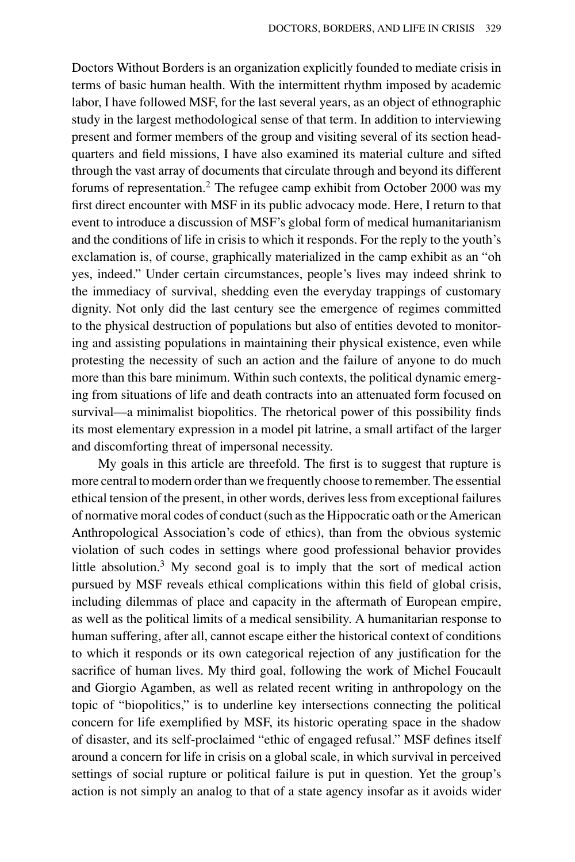Doctors Without Borders is an organization explicitly founded to mediate crisis in terms of basic human health. With the intermittent rhythm imposed by academic labor, I have followed MSF, for the last several years, as an object of ethnographic study in the largest methodological sense of that term. In addition to interviewing present and former members of the group and visiting several of its section headquarters and field missions, I have also examined its material culture and sifted through the vast array of documents that circulate through and beyond its different forums of representation.<sup>2</sup> The refugee camp exhibit from October 2000 was my first direct encounter with MSF in its public advocacy mode. Here, I return to that event to introduce a discussion of MSF's global form of medical humanitarianism and the conditions of life in crisis to which it responds. For the reply to the youth's exclamation is, of course, graphically materialized in the camp exhibit as an "oh yes, indeed." Under certain circumstances, people's lives may indeed shrink to the immediacy of survival, shedding even the everyday trappings of customary dignity. Not only did the last century see the emergence of regimes committed to the physical destruction of populations but also of entities devoted to monitoring and assisting populations in maintaining their physical existence, even while protesting the necessity of such an action and the failure of anyone to do much more than this bare minimum. Within such contexts, the political dynamic emerging from situations of life and death contracts into an attenuated form focused on survival—a minimalist biopolitics. The rhetorical power of this possibility finds its most elementary expression in a model pit latrine, a small artifact of the larger and discomforting threat of impersonal necessity.

My goals in this article are threefold. The first is to suggest that rupture is more central to modern order than we frequently choose to remember. The essential ethical tension of the present, in other words, derives less from exceptional failures of normative moral codes of conduct (such as the Hippocratic oath or the American Anthropological Association's code of ethics), than from the obvious systemic violation of such codes in settings where good professional behavior provides little absolution.3 My second goal is to imply that the sort of medical action pursued by MSF reveals ethical complications within this field of global crisis, including dilemmas of place and capacity in the aftermath of European empire, as well as the political limits of a medical sensibility. A humanitarian response to human suffering, after all, cannot escape either the historical context of conditions to which it responds or its own categorical rejection of any justification for the sacrifice of human lives. My third goal, following the work of Michel Foucault and Giorgio Agamben, as well as related recent writing in anthropology on the topic of "biopolitics," is to underline key intersections connecting the political concern for life exemplified by MSF, its historic operating space in the shadow of disaster, and its self-proclaimed "ethic of engaged refusal." MSF defines itself around a concern for life in crisis on a global scale, in which survival in perceived settings of social rupture or political failure is put in question. Yet the group's action is not simply an analog to that of a state agency insofar as it avoids wider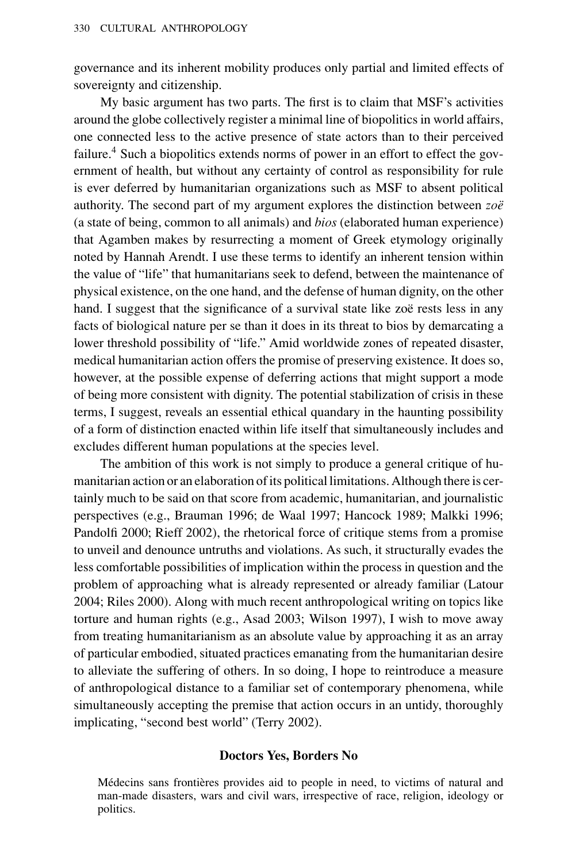governance and its inherent mobility produces only partial and limited effects of sovereignty and citizenship.

My basic argument has two parts. The first is to claim that MSF's activities around the globe collectively register a minimal line of biopolitics in world affairs, one connected less to the active presence of state actors than to their perceived failure.<sup>4</sup> Such a biopolitics extends norms of power in an effort to effect the government of health, but without any certainty of control as responsibility for rule is ever deferred by humanitarian organizations such as MSF to absent political authority. The second part of my argument explores the distinction between *zoe¨* (a state of being, common to all animals) and *bios* (elaborated human experience) that Agamben makes by resurrecting a moment of Greek etymology originally noted by Hannah Arendt. I use these terms to identify an inherent tension within the value of "life" that humanitarians seek to defend, between the maintenance of physical existence, on the one hand, and the defense of human dignity, on the other hand. I suggest that the significance of a survival state like zoë rests less in any facts of biological nature per se than it does in its threat to bios by demarcating a lower threshold possibility of "life." Amid worldwide zones of repeated disaster, medical humanitarian action offers the promise of preserving existence. It does so, however, at the possible expense of deferring actions that might support a mode of being more consistent with dignity. The potential stabilization of crisis in these terms, I suggest, reveals an essential ethical quandary in the haunting possibility of a form of distinction enacted within life itself that simultaneously includes and excludes different human populations at the species level.

The ambition of this work is not simply to produce a general critique of humanitarian action or an elaboration of its political limitations. Although there is certainly much to be said on that score from academic, humanitarian, and journalistic perspectives (e.g., Brauman 1996; de Waal 1997; Hancock 1989; Malkki 1996; Pandolfi 2000; Rieff 2002), the rhetorical force of critique stems from a promise to unveil and denounce untruths and violations. As such, it structurally evades the less comfortable possibilities of implication within the process in question and the problem of approaching what is already represented or already familiar (Latour 2004; Riles 2000). Along with much recent anthropological writing on topics like torture and human rights (e.g., Asad 2003; Wilson 1997), I wish to move away from treating humanitarianism as an absolute value by approaching it as an array of particular embodied, situated practices emanating from the humanitarian desire to alleviate the suffering of others. In so doing, I hope to reintroduce a measure of anthropological distance to a familiar set of contemporary phenomena, while simultaneously accepting the premise that action occurs in an untidy, thoroughly implicating, "second best world" (Terry 2002).

### **Doctors Yes, Borders No**

Médecins sans frontières provides aid to people in need, to victims of natural and man-made disasters, wars and civil wars, irrespective of race, religion, ideology or politics.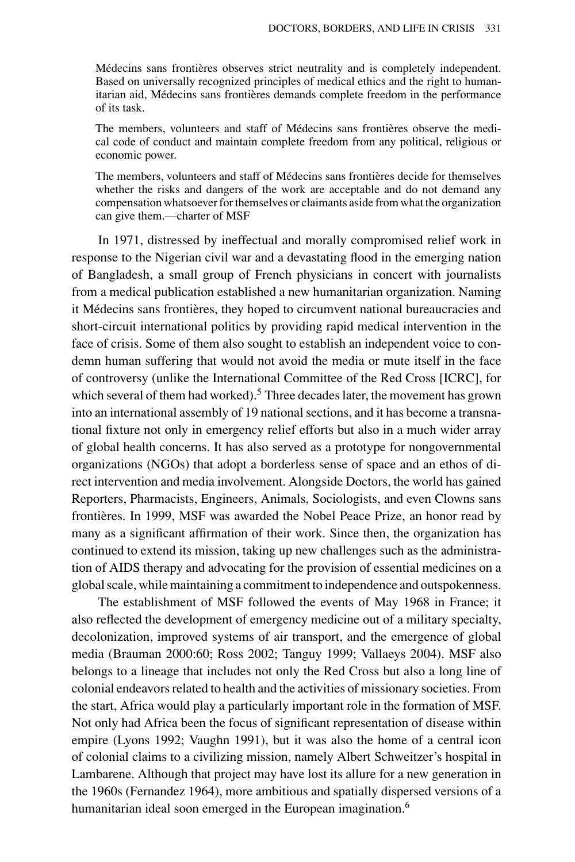Médecins sans frontières observes strict neutrality and is completely independent. Based on universally recognized principles of medical ethics and the right to humanitarian aid, Médecins sans frontières demands complete freedom in the performance of its task.

The members, volunteers and staff of Médecins sans frontières observe the medical code of conduct and maintain complete freedom from any political, religious or economic power.

The members, volunteers and staff of Médecins sans frontières decide for themselves whether the risks and dangers of the work are acceptable and do not demand any compensation whatsoever for themselves or claimants aside from what the organization can give them.—charter of MSF

In 1971, distressed by ineffectual and morally compromised relief work in response to the Nigerian civil war and a devastating flood in the emerging nation of Bangladesh, a small group of French physicians in concert with journalists from a medical publication established a new humanitarian organization. Naming it Médecins sans frontières, they hoped to circumvent national bureaucracies and short-circuit international politics by providing rapid medical intervention in the face of crisis. Some of them also sought to establish an independent voice to condemn human suffering that would not avoid the media or mute itself in the face of controversy (unlike the International Committee of the Red Cross [ICRC], for which several of them had worked).<sup>5</sup> Three decades later, the movement has grown into an international assembly of 19 national sections, and it has become a transnational fixture not only in emergency relief efforts but also in a much wider array of global health concerns. It has also served as a prototype for nongovernmental organizations (NGOs) that adopt a borderless sense of space and an ethos of direct intervention and media involvement. Alongside Doctors, the world has gained Reporters, Pharmacists, Engineers, Animals, Sociologists, and even Clowns sans frontières. In 1999, MSF was awarded the Nobel Peace Prize, an honor read by many as a significant affirmation of their work. Since then, the organization has continued to extend its mission, taking up new challenges such as the administration of AIDS therapy and advocating for the provision of essential medicines on a global scale, while maintaining a commitment to independence and outspokenness.

The establishment of MSF followed the events of May 1968 in France; it also reflected the development of emergency medicine out of a military specialty, decolonization, improved systems of air transport, and the emergence of global media (Brauman 2000:60; Ross 2002; Tanguy 1999; Vallaeys 2004). MSF also belongs to a lineage that includes not only the Red Cross but also a long line of colonial endeavors related to health and the activities of missionary societies. From the start, Africa would play a particularly important role in the formation of MSF. Not only had Africa been the focus of significant representation of disease within empire (Lyons 1992; Vaughn 1991), but it was also the home of a central icon of colonial claims to a civilizing mission, namely Albert Schweitzer's hospital in Lambarene. Although that project may have lost its allure for a new generation in the 1960s (Fernandez 1964), more ambitious and spatially dispersed versions of a humanitarian ideal soon emerged in the European imagination.<sup>6</sup>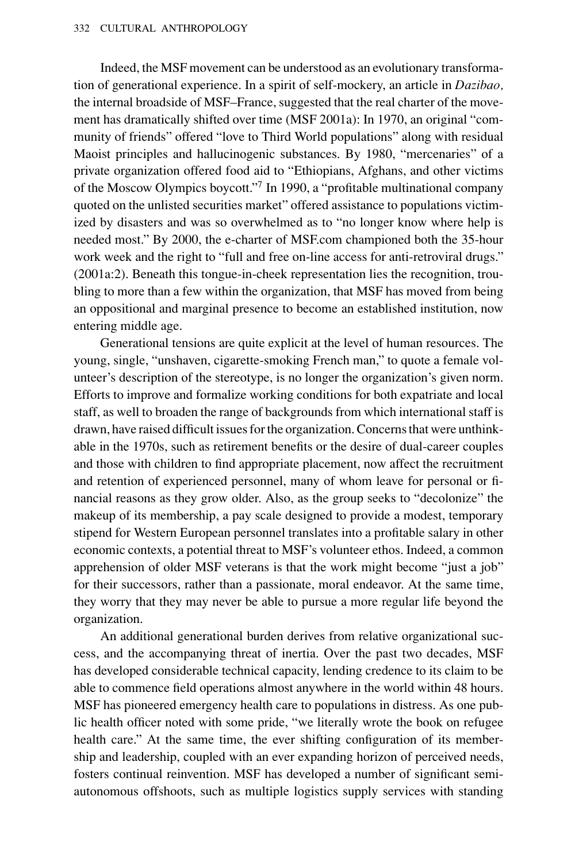Indeed, the MSF movement can be understood as an evolutionary transformation of generational experience. In a spirit of self-mockery, an article in *Dazibao,* the internal broadside of MSF–France, suggested that the real charter of the movement has dramatically shifted over time (MSF 2001a): In 1970, an original "community of friends" offered "love to Third World populations" along with residual Maoist principles and hallucinogenic substances. By 1980, "mercenaries" of a private organization offered food aid to "Ethiopians, Afghans, and other victims of the Moscow Olympics boycott."<sup>7</sup> In 1990, a "profitable multinational company quoted on the unlisted securities market" offered assistance to populations victimized by disasters and was so overwhelmed as to "no longer know where help is needed most." By 2000, the e-charter of MSF.com championed both the 35-hour work week and the right to "full and free on-line access for anti-retroviral drugs." (2001a:2). Beneath this tongue-in-cheek representation lies the recognition, troubling to more than a few within the organization, that MSF has moved from being an oppositional and marginal presence to become an established institution, now entering middle age.

Generational tensions are quite explicit at the level of human resources. The young, single, "unshaven, cigarette-smoking French man," to quote a female volunteer's description of the stereotype, is no longer the organization's given norm. Efforts to improve and formalize working conditions for both expatriate and local staff, as well to broaden the range of backgrounds from which international staff is drawn, have raised difficult issues for the organization. Concerns that were unthinkable in the 1970s, such as retirement benefits or the desire of dual-career couples and those with children to find appropriate placement, now affect the recruitment and retention of experienced personnel, many of whom leave for personal or financial reasons as they grow older. Also, as the group seeks to "decolonize" the makeup of its membership, a pay scale designed to provide a modest, temporary stipend for Western European personnel translates into a profitable salary in other economic contexts, a potential threat to MSF's volunteer ethos. Indeed, a common apprehension of older MSF veterans is that the work might become "just a job" for their successors, rather than a passionate, moral endeavor. At the same time, they worry that they may never be able to pursue a more regular life beyond the organization.

An additional generational burden derives from relative organizational success, and the accompanying threat of inertia. Over the past two decades, MSF has developed considerable technical capacity, lending credence to its claim to be able to commence field operations almost anywhere in the world within 48 hours. MSF has pioneered emergency health care to populations in distress. As one public health officer noted with some pride, "we literally wrote the book on refugee health care." At the same time, the ever shifting configuration of its membership and leadership, coupled with an ever expanding horizon of perceived needs, fosters continual reinvention. MSF has developed a number of significant semiautonomous offshoots, such as multiple logistics supply services with standing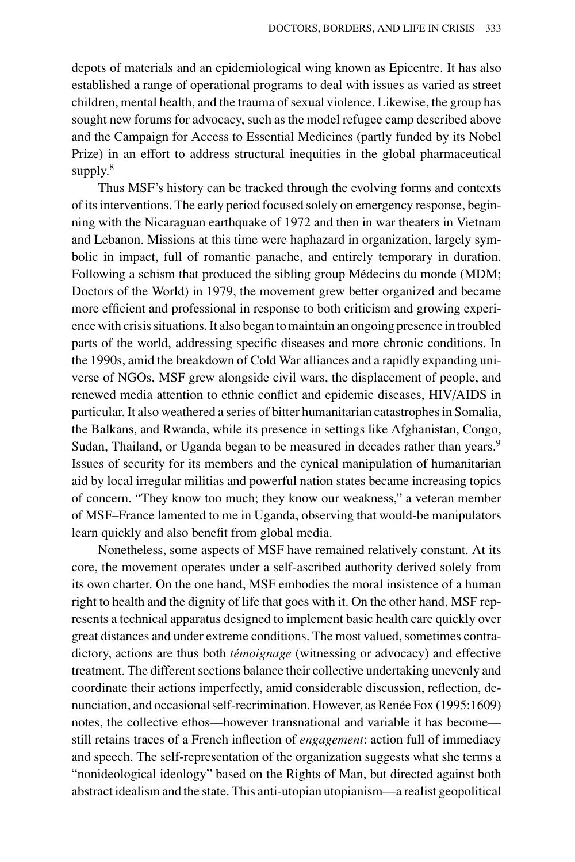depots of materials and an epidemiological wing known as Epicentre. It has also established a range of operational programs to deal with issues as varied as street children, mental health, and the trauma of sexual violence. Likewise, the group has sought new forums for advocacy, such as the model refugee camp described above and the Campaign for Access to Essential Medicines (partly funded by its Nobel Prize) in an effort to address structural inequities in the global pharmaceutical supply.<sup>8</sup>

Thus MSF's history can be tracked through the evolving forms and contexts of its interventions. The early period focused solely on emergency response, beginning with the Nicaraguan earthquake of 1972 and then in war theaters in Vietnam and Lebanon. Missions at this time were haphazard in organization, largely symbolic in impact, full of romantic panache, and entirely temporary in duration. Following a schism that produced the sibling group Médecins du monde (MDM; Doctors of the World) in 1979, the movement grew better organized and became more efficient and professional in response to both criticism and growing experience with crisis situations. It also began to maintain an ongoing presence in troubled parts of the world, addressing specific diseases and more chronic conditions. In the 1990s, amid the breakdown of Cold War alliances and a rapidly expanding universe of NGOs, MSF grew alongside civil wars, the displacement of people, and renewed media attention to ethnic conflict and epidemic diseases, HIV/AIDS in particular. It also weathered a series of bitter humanitarian catastrophes in Somalia, the Balkans, and Rwanda, while its presence in settings like Afghanistan, Congo, Sudan, Thailand, or Uganda began to be measured in decades rather than years.<sup>9</sup> Issues of security for its members and the cynical manipulation of humanitarian aid by local irregular militias and powerful nation states became increasing topics of concern. "They know too much; they know our weakness," a veteran member of MSF–France lamented to me in Uganda, observing that would-be manipulators learn quickly and also benefit from global media.

Nonetheless, some aspects of MSF have remained relatively constant. At its core, the movement operates under a self-ascribed authority derived solely from its own charter. On the one hand, MSF embodies the moral insistence of a human right to health and the dignity of life that goes with it. On the other hand, MSF represents a technical apparatus designed to implement basic health care quickly over great distances and under extreme conditions. The most valued, sometimes contradictory, actions are thus both *témoignage* (witnessing or advocacy) and effective treatment. The different sections balance their collective undertaking unevenly and coordinate their actions imperfectly, amid considerable discussion, reflection, denunciation, and occasional self-recrimination. However, as Renée Fox (1995:1609) notes, the collective ethos—however transnational and variable it has become still retains traces of a French inflection of *engagement*: action full of immediacy and speech. The self-representation of the organization suggests what she terms a "nonideological ideology" based on the Rights of Man, but directed against both abstract idealism and the state. This anti-utopian utopianism—a realist geopolitical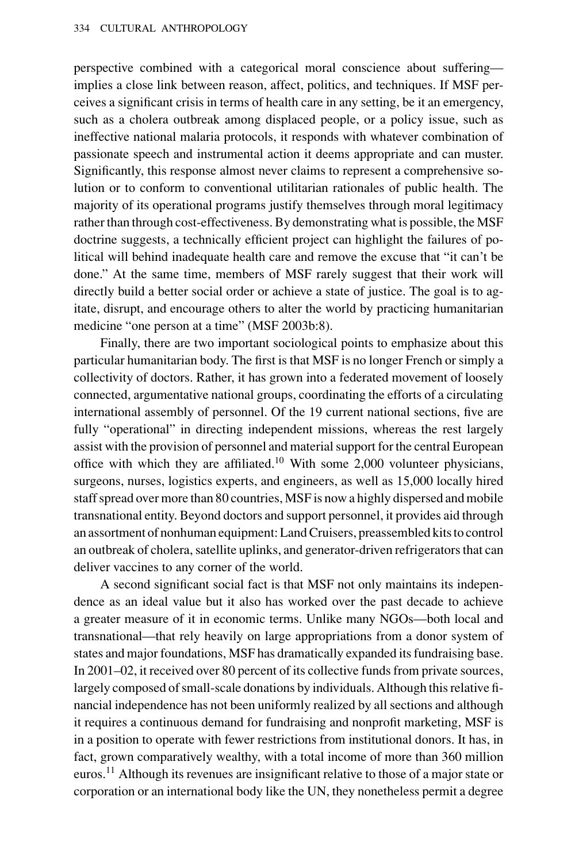perspective combined with a categorical moral conscience about suffering implies a close link between reason, affect, politics, and techniques. If MSF perceives a significant crisis in terms of health care in any setting, be it an emergency, such as a cholera outbreak among displaced people, or a policy issue, such as ineffective national malaria protocols, it responds with whatever combination of passionate speech and instrumental action it deems appropriate and can muster. Significantly, this response almost never claims to represent a comprehensive solution or to conform to conventional utilitarian rationales of public health. The majority of its operational programs justify themselves through moral legitimacy rather than through cost-effectiveness. By demonstrating what is possible, the MSF doctrine suggests, a technically efficient project can highlight the failures of political will behind inadequate health care and remove the excuse that "it can't be done." At the same time, members of MSF rarely suggest that their work will directly build a better social order or achieve a state of justice. The goal is to agitate, disrupt, and encourage others to alter the world by practicing humanitarian medicine "one person at a time" (MSF 2003b:8).

Finally, there are two important sociological points to emphasize about this particular humanitarian body. The first is that MSF is no longer French or simply a collectivity of doctors. Rather, it has grown into a federated movement of loosely connected, argumentative national groups, coordinating the efforts of a circulating international assembly of personnel. Of the 19 current national sections, five are fully "operational" in directing independent missions, whereas the rest largely assist with the provision of personnel and material support for the central European office with which they are affiliated.<sup>10</sup> With some 2,000 volunteer physicians, surgeons, nurses, logistics experts, and engineers, as well as 15,000 locally hired staff spread over more than 80 countries, MSF is now a highly dispersed and mobile transnational entity. Beyond doctors and support personnel, it provides aid through an assortment of nonhuman equipment: Land Cruisers, preassembled kits to control an outbreak of cholera, satellite uplinks, and generator-driven refrigerators that can deliver vaccines to any corner of the world.

A second significant social fact is that MSF not only maintains its independence as an ideal value but it also has worked over the past decade to achieve a greater measure of it in economic terms. Unlike many NGOs—both local and transnational—that rely heavily on large appropriations from a donor system of states and major foundations, MSF has dramatically expanded its fundraising base. In 2001–02, it received over 80 percent of its collective funds from private sources, largely composed of small-scale donations by individuals. Although this relative financial independence has not been uniformly realized by all sections and although it requires a continuous demand for fundraising and nonprofit marketing, MSF is in a position to operate with fewer restrictions from institutional donors. It has, in fact, grown comparatively wealthy, with a total income of more than 360 million euros.<sup>11</sup> Although its revenues are insignificant relative to those of a major state or corporation or an international body like the UN, they nonetheless permit a degree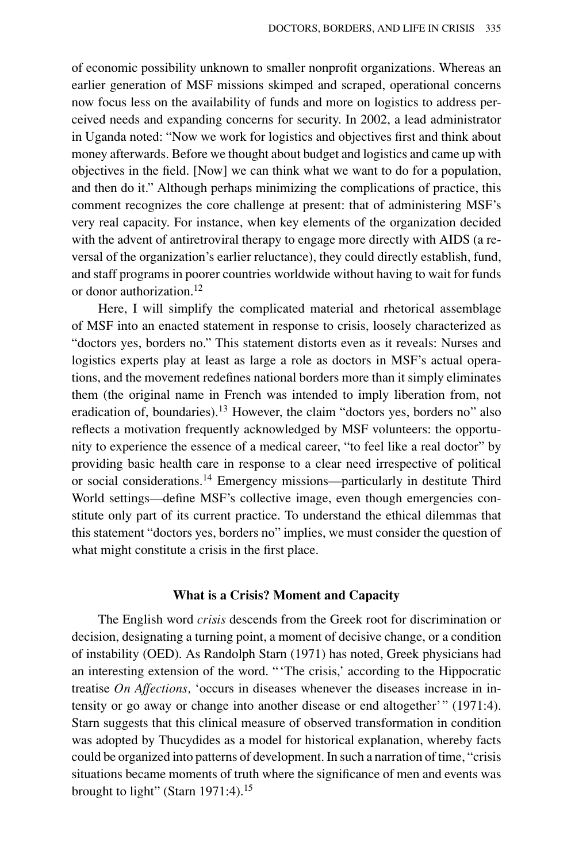of economic possibility unknown to smaller nonprofit organizations. Whereas an earlier generation of MSF missions skimped and scraped, operational concerns now focus less on the availability of funds and more on logistics to address perceived needs and expanding concerns for security. In 2002, a lead administrator in Uganda noted: "Now we work for logistics and objectives first and think about money afterwards. Before we thought about budget and logistics and came up with objectives in the field. [Now] we can think what we want to do for a population, and then do it." Although perhaps minimizing the complications of practice, this comment recognizes the core challenge at present: that of administering MSF's very real capacity. For instance, when key elements of the organization decided with the advent of antiretroviral therapy to engage more directly with AIDS (a reversal of the organization's earlier reluctance), they could directly establish, fund, and staff programs in poorer countries worldwide without having to wait for funds or donor authorization.<sup>12</sup>

Here, I will simplify the complicated material and rhetorical assemblage of MSF into an enacted statement in response to crisis, loosely characterized as "doctors yes, borders no." This statement distorts even as it reveals: Nurses and logistics experts play at least as large a role as doctors in MSF's actual operations, and the movement redefines national borders more than it simply eliminates them (the original name in French was intended to imply liberation from, not eradication of, boundaries).<sup>13</sup> However, the claim "doctors yes, borders no" also reflects a motivation frequently acknowledged by MSF volunteers: the opportunity to experience the essence of a medical career, "to feel like a real doctor" by providing basic health care in response to a clear need irrespective of political or social considerations.14 Emergency missions—particularly in destitute Third World settings—define MSF's collective image, even though emergencies constitute only part of its current practice. To understand the ethical dilemmas that this statement "doctors yes, borders no" implies, we must consider the question of what might constitute a crisis in the first place.

### **What is a Crisis? Moment and Capacity**

The English word *crisis* descends from the Greek root for discrimination or decision, designating a turning point, a moment of decisive change, or a condition of instability (OED). As Randolph Starn (1971) has noted, Greek physicians had an interesting extension of the word. "'The crisis,' according to the Hippocratic treatise *On Affections,* 'occurs in diseases whenever the diseases increase in intensity or go away or change into another disease or end altogether'" (1971:4). Starn suggests that this clinical measure of observed transformation in condition was adopted by Thucydides as a model for historical explanation, whereby facts could be organized into patterns of development. In such a narration of time, "crisis situations became moments of truth where the significance of men and events was brought to light" (Starn 1971:4).<sup>15</sup>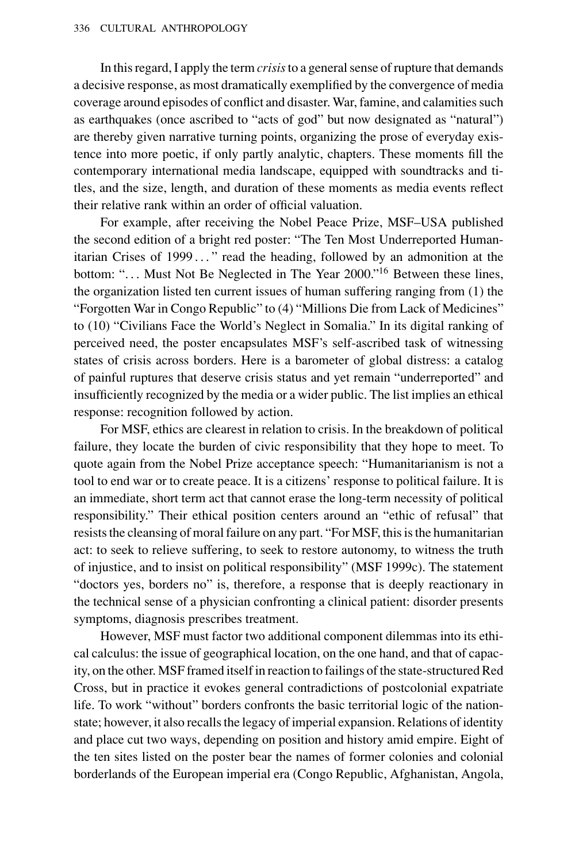In this regard, I apply the term *crisis*to a general sense of rupture that demands a decisive response, as most dramatically exemplified by the convergence of media coverage around episodes of conflict and disaster. War, famine, and calamities such as earthquakes (once ascribed to "acts of god" but now designated as "natural") are thereby given narrative turning points, organizing the prose of everyday existence into more poetic, if only partly analytic, chapters. These moments fill the contemporary international media landscape, equipped with soundtracks and titles, and the size, length, and duration of these moments as media events reflect their relative rank within an order of official valuation.

For example, after receiving the Nobel Peace Prize, MSF–USA published the second edition of a bright red poster: "The Ten Most Underreported Humanitarian Crises of 1999 ..." read the heading, followed by an admonition at the bottom: "... Must Not Be Neglected in The Year 2000."<sup>16</sup> Between these lines, the organization listed ten current issues of human suffering ranging from (1) the "Forgotten War in Congo Republic" to (4) "Millions Die from Lack of Medicines" to (10) "Civilians Face the World's Neglect in Somalia." In its digital ranking of perceived need, the poster encapsulates MSF's self-ascribed task of witnessing states of crisis across borders. Here is a barometer of global distress: a catalog of painful ruptures that deserve crisis status and yet remain "underreported" and insufficiently recognized by the media or a wider public. The list implies an ethical response: recognition followed by action.

For MSF, ethics are clearest in relation to crisis. In the breakdown of political failure, they locate the burden of civic responsibility that they hope to meet. To quote again from the Nobel Prize acceptance speech: "Humanitarianism is not a tool to end war or to create peace. It is a citizens' response to political failure. It is an immediate, short term act that cannot erase the long-term necessity of political responsibility." Their ethical position centers around an "ethic of refusal" that resists the cleansing of moral failure on any part. "For MSF, this is the humanitarian act: to seek to relieve suffering, to seek to restore autonomy, to witness the truth of injustice, and to insist on political responsibility" (MSF 1999c). The statement "doctors yes, borders no" is, therefore, a response that is deeply reactionary in the technical sense of a physician confronting a clinical patient: disorder presents symptoms, diagnosis prescribes treatment.

However, MSF must factor two additional component dilemmas into its ethical calculus: the issue of geographical location, on the one hand, and that of capacity, on the other. MSF framed itself in reaction to failings of the state-structured Red Cross, but in practice it evokes general contradictions of postcolonial expatriate life. To work "without" borders confronts the basic territorial logic of the nationstate; however, it also recalls the legacy of imperial expansion. Relations of identity and place cut two ways, depending on position and history amid empire. Eight of the ten sites listed on the poster bear the names of former colonies and colonial borderlands of the European imperial era (Congo Republic, Afghanistan, Angola,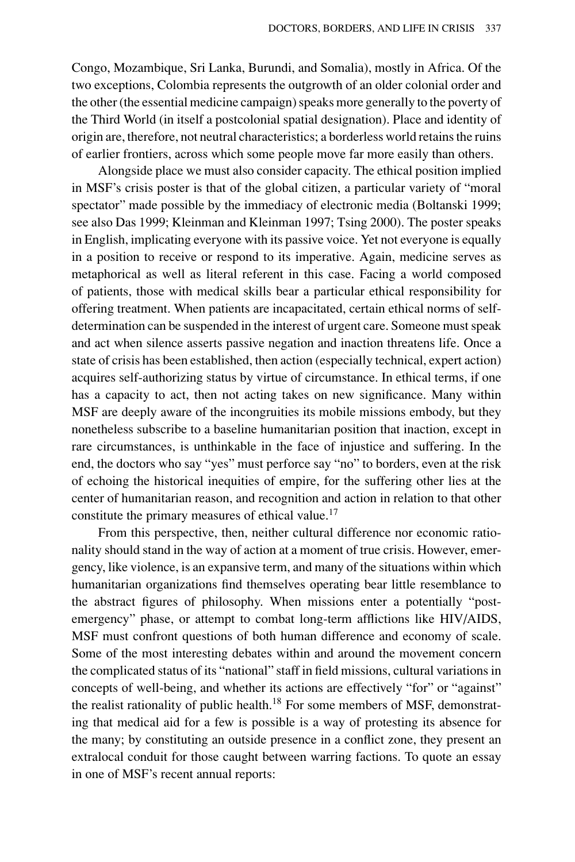Congo, Mozambique, Sri Lanka, Burundi, and Somalia), mostly in Africa. Of the two exceptions, Colombia represents the outgrowth of an older colonial order and the other (the essential medicine campaign) speaks more generally to the poverty of the Third World (in itself a postcolonial spatial designation). Place and identity of origin are, therefore, not neutral characteristics; a borderless world retains the ruins of earlier frontiers, across which some people move far more easily than others.

Alongside place we must also consider capacity. The ethical position implied in MSF's crisis poster is that of the global citizen, a particular variety of "moral spectator" made possible by the immediacy of electronic media (Boltanski 1999; see also Das 1999; Kleinman and Kleinman 1997; Tsing 2000). The poster speaks in English, implicating everyone with its passive voice. Yet not everyone is equally in a position to receive or respond to its imperative. Again, medicine serves as metaphorical as well as literal referent in this case. Facing a world composed of patients, those with medical skills bear a particular ethical responsibility for offering treatment. When patients are incapacitated, certain ethical norms of selfdetermination can be suspended in the interest of urgent care. Someone must speak and act when silence asserts passive negation and inaction threatens life. Once a state of crisis has been established, then action (especially technical, expert action) acquires self-authorizing status by virtue of circumstance. In ethical terms, if one has a capacity to act, then not acting takes on new significance. Many within MSF are deeply aware of the incongruities its mobile missions embody, but they nonetheless subscribe to a baseline humanitarian position that inaction, except in rare circumstances, is unthinkable in the face of injustice and suffering. In the end, the doctors who say "yes" must perforce say "no" to borders, even at the risk of echoing the historical inequities of empire, for the suffering other lies at the center of humanitarian reason, and recognition and action in relation to that other constitute the primary measures of ethical value.<sup>17</sup>

From this perspective, then, neither cultural difference nor economic rationality should stand in the way of action at a moment of true crisis. However, emergency, like violence, is an expansive term, and many of the situations within which humanitarian organizations find themselves operating bear little resemblance to the abstract figures of philosophy. When missions enter a potentially "postemergency" phase, or attempt to combat long-term afflictions like HIV/AIDS, MSF must confront questions of both human difference and economy of scale. Some of the most interesting debates within and around the movement concern the complicated status of its "national" staff in field missions, cultural variations in concepts of well-being, and whether its actions are effectively "for" or "against" the realist rationality of public health.<sup>18</sup> For some members of MSF, demonstrating that medical aid for a few is possible is a way of protesting its absence for the many; by constituting an outside presence in a conflict zone, they present an extralocal conduit for those caught between warring factions. To quote an essay in one of MSF's recent annual reports: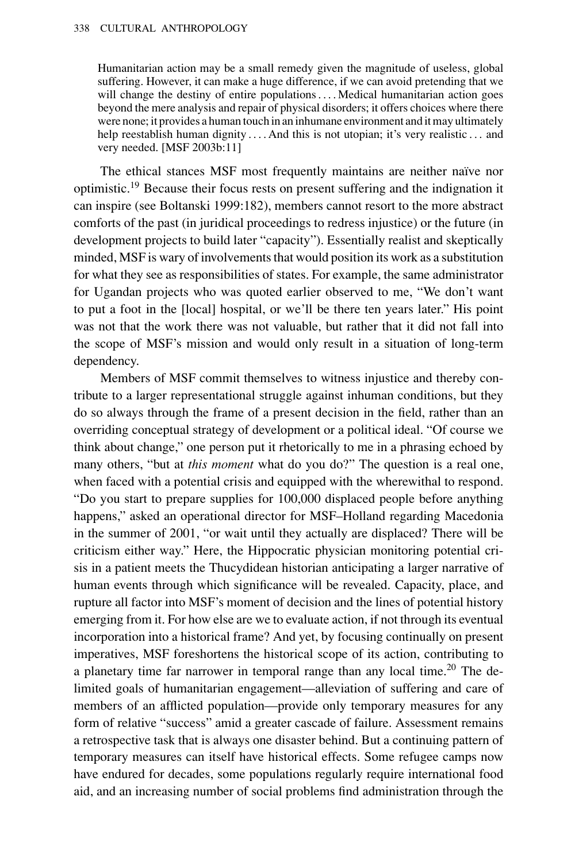Humanitarian action may be a small remedy given the magnitude of useless, global suffering. However, it can make a huge difference, if we can avoid pretending that we will change the destiny of entire populations.... Medical humanitarian action goes beyond the mere analysis and repair of physical disorders; it offers choices where there were none; it provides a human touch in an inhumane environment and it may ultimately help reestablish human dignity ... . And this is not utopian; it's very realistic ... and very needed. [MSF 2003b:11]

The ethical stances MSF most frequently maintains are neither naïve nor optimistic.<sup>19</sup> Because their focus rests on present suffering and the indignation it can inspire (see Boltanski 1999:182), members cannot resort to the more abstract comforts of the past (in juridical proceedings to redress injustice) or the future (in development projects to build later "capacity"). Essentially realist and skeptically minded, MSF is wary of involvements that would position its work as a substitution for what they see as responsibilities of states. For example, the same administrator for Ugandan projects who was quoted earlier observed to me, "We don't want to put a foot in the [local] hospital, or we'll be there ten years later." His point was not that the work there was not valuable, but rather that it did not fall into the scope of MSF's mission and would only result in a situation of long-term dependency.

Members of MSF commit themselves to witness injustice and thereby contribute to a larger representational struggle against inhuman conditions, but they do so always through the frame of a present decision in the field, rather than an overriding conceptual strategy of development or a political ideal. "Of course we think about change," one person put it rhetorically to me in a phrasing echoed by many others, "but at *this moment* what do you do?" The question is a real one, when faced with a potential crisis and equipped with the wherewithal to respond. "Do you start to prepare supplies for 100,000 displaced people before anything happens," asked an operational director for MSF–Holland regarding Macedonia in the summer of 2001, "or wait until they actually are displaced? There will be criticism either way." Here, the Hippocratic physician monitoring potential crisis in a patient meets the Thucydidean historian anticipating a larger narrative of human events through which significance will be revealed. Capacity, place, and rupture all factor into MSF's moment of decision and the lines of potential history emerging from it. For how else are we to evaluate action, if not through its eventual incorporation into a historical frame? And yet, by focusing continually on present imperatives, MSF foreshortens the historical scope of its action, contributing to a planetary time far narrower in temporal range than any local time.<sup>20</sup> The delimited goals of humanitarian engagement—alleviation of suffering and care of members of an afflicted population—provide only temporary measures for any form of relative "success" amid a greater cascade of failure. Assessment remains a retrospective task that is always one disaster behind. But a continuing pattern of temporary measures can itself have historical effects. Some refugee camps now have endured for decades, some populations regularly require international food aid, and an increasing number of social problems find administration through the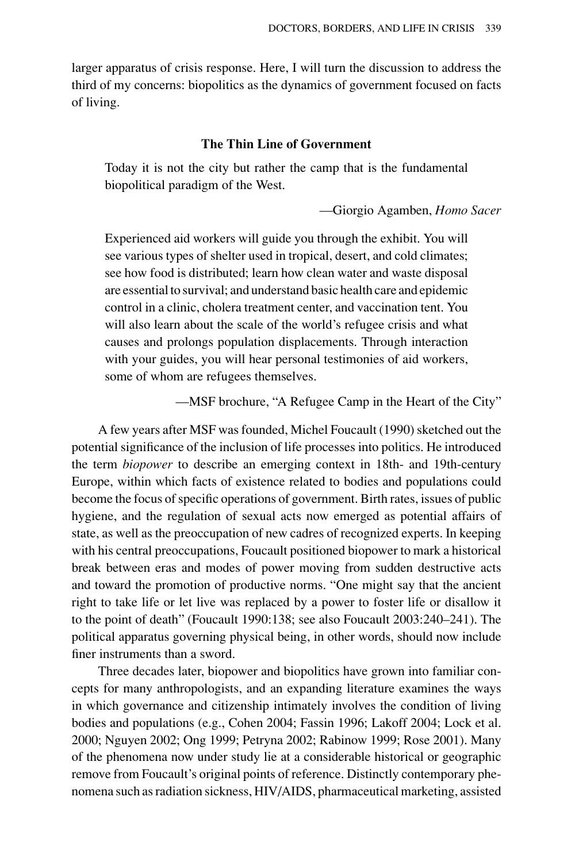larger apparatus of crisis response. Here, I will turn the discussion to address the third of my concerns: biopolitics as the dynamics of government focused on facts of living.

### **The Thin Line of Government**

Today it is not the city but rather the camp that is the fundamental biopolitical paradigm of the West.

—Giorgio Agamben, *Homo Sacer*

Experienced aid workers will guide you through the exhibit. You will see various types of shelter used in tropical, desert, and cold climates; see how food is distributed; learn how clean water and waste disposal are essential to survival; and understand basic health care and epidemic control in a clinic, cholera treatment center, and vaccination tent. You will also learn about the scale of the world's refugee crisis and what causes and prolongs population displacements. Through interaction with your guides, you will hear personal testimonies of aid workers, some of whom are refugees themselves.

—MSF brochure, "A Refugee Camp in the Heart of the City"

A few years after MSF was founded, Michel Foucault (1990) sketched out the potential significance of the inclusion of life processes into politics. He introduced the term *biopower* to describe an emerging context in 18th- and 19th-century Europe, within which facts of existence related to bodies and populations could become the focus of specific operations of government. Birth rates, issues of public hygiene, and the regulation of sexual acts now emerged as potential affairs of state, as well as the preoccupation of new cadres of recognized experts. In keeping with his central preoccupations, Foucault positioned biopower to mark a historical break between eras and modes of power moving from sudden destructive acts and toward the promotion of productive norms. "One might say that the ancient right to take life or let live was replaced by a power to foster life or disallow it to the point of death" (Foucault 1990:138; see also Foucault 2003:240–241). The political apparatus governing physical being, in other words, should now include finer instruments than a sword.

Three decades later, biopower and biopolitics have grown into familiar concepts for many anthropologists, and an expanding literature examines the ways in which governance and citizenship intimately involves the condition of living bodies and populations (e.g., Cohen 2004; Fassin 1996; Lakoff 2004; Lock et al. 2000; Nguyen 2002; Ong 1999; Petryna 2002; Rabinow 1999; Rose 2001). Many of the phenomena now under study lie at a considerable historical or geographic remove from Foucault's original points of reference. Distinctly contemporary phenomena such as radiation sickness, HIV/AIDS, pharmaceutical marketing, assisted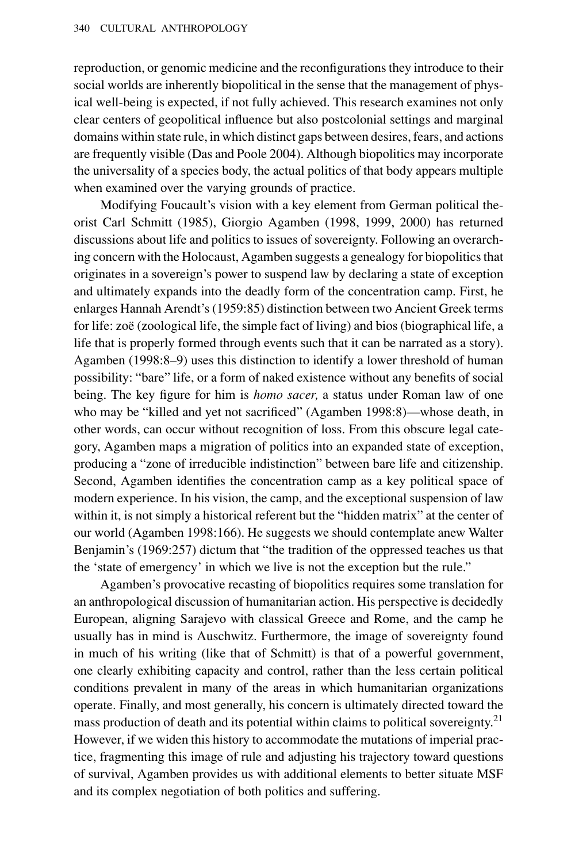reproduction, or genomic medicine and the reconfigurations they introduce to their social worlds are inherently biopolitical in the sense that the management of physical well-being is expected, if not fully achieved. This research examines not only clear centers of geopolitical influence but also postcolonial settings and marginal domains within state rule, in which distinct gaps between desires, fears, and actions are frequently visible (Das and Poole 2004). Although biopolitics may incorporate the universality of a species body, the actual politics of that body appears multiple when examined over the varying grounds of practice.

Modifying Foucault's vision with a key element from German political theorist Carl Schmitt (1985), Giorgio Agamben (1998, 1999, 2000) has returned discussions about life and politics to issues of sovereignty. Following an overarching concern with the Holocaust, Agamben suggests a genealogy for biopolitics that originates in a sovereign's power to suspend law by declaring a state of exception and ultimately expands into the deadly form of the concentration camp. First, he enlarges Hannah Arendt's (1959:85) distinction between two Ancient Greek terms for life: zoë (zoological life, the simple fact of living) and bios (biographical life, a life that is properly formed through events such that it can be narrated as a story). Agamben (1998:8–9) uses this distinction to identify a lower threshold of human possibility: "bare" life, or a form of naked existence without any benefits of social being. The key figure for him is *homo sacer,* a status under Roman law of one who may be "killed and yet not sacrificed" (Agamben 1998:8)—whose death, in other words, can occur without recognition of loss. From this obscure legal category, Agamben maps a migration of politics into an expanded state of exception, producing a "zone of irreducible indistinction" between bare life and citizenship. Second, Agamben identifies the concentration camp as a key political space of modern experience. In his vision, the camp, and the exceptional suspension of law within it, is not simply a historical referent but the "hidden matrix" at the center of our world (Agamben 1998:166). He suggests we should contemplate anew Walter Benjamin's (1969:257) dictum that "the tradition of the oppressed teaches us that the 'state of emergency' in which we live is not the exception but the rule."

Agamben's provocative recasting of biopolitics requires some translation for an anthropological discussion of humanitarian action. His perspective is decidedly European, aligning Sarajevo with classical Greece and Rome, and the camp he usually has in mind is Auschwitz. Furthermore, the image of sovereignty found in much of his writing (like that of Schmitt) is that of a powerful government, one clearly exhibiting capacity and control, rather than the less certain political conditions prevalent in many of the areas in which humanitarian organizations operate. Finally, and most generally, his concern is ultimately directed toward the mass production of death and its potential within claims to political sovereignty.<sup>21</sup> However, if we widen this history to accommodate the mutations of imperial practice, fragmenting this image of rule and adjusting his trajectory toward questions of survival, Agamben provides us with additional elements to better situate MSF and its complex negotiation of both politics and suffering.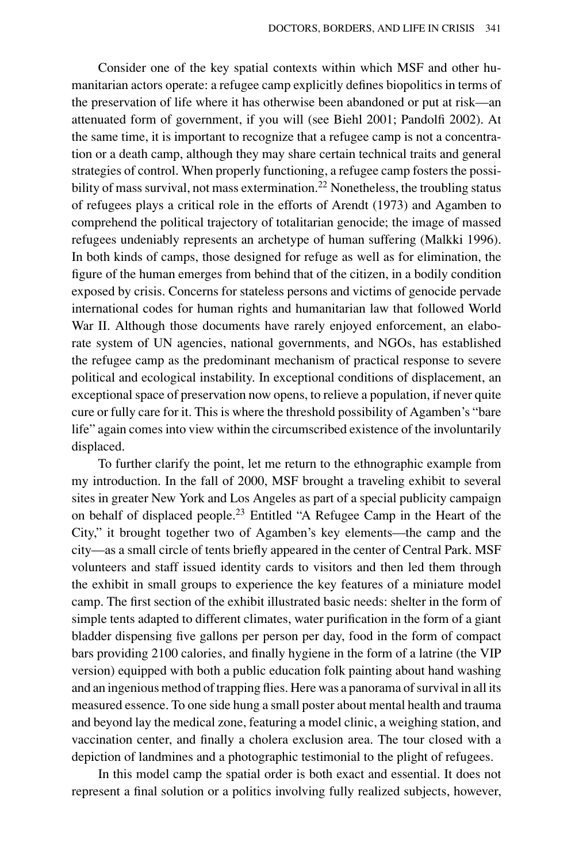Consider one of the key spatial contexts within which MSF and other humanitarian actors operate: a refugee camp explicitly defines biopolitics in terms of the preservation of life where it has otherwise been abandoned or put at risk—an attenuated form of government, if you will (see Biehl 2001; Pandolfi 2002). At the same time, it is important to recognize that a refugee camp is not a concentration or a death camp, although they may share certain technical traits and general strategies of control. When properly functioning, a refugee camp fosters the possibility of mass survival, not mass extermination.<sup>22</sup> Nonetheless, the troubling status of refugees plays a critical role in the efforts of Arendt (1973) and Agamben to comprehend the political trajectory of totalitarian genocide; the image of massed refugees undeniably represents an archetype of human suffering (Malkki 1996). In both kinds of camps, those designed for refuge as well as for elimination, the figure of the human emerges from behind that of the citizen, in a bodily condition exposed by crisis. Concerns for stateless persons and victims of genocide pervade international codes for human rights and humanitarian law that followed World War II. Although those documents have rarely enjoyed enforcement, an elaborate system of UN agencies, national governments, and NGOs, has established the refugee camp as the predominant mechanism of practical response to severe political and ecological instability. In exceptional conditions of displacement, an exceptional space of preservation now opens, to relieve a population, if never quite cure or fully care for it. This is where the threshold possibility of Agamben's "bare life" again comes into view within the circumscribed existence of the involuntarily displaced.

To further clarify the point, let me return to the ethnographic example from my introduction. In the fall of 2000, MSF brought a traveling exhibit to several sites in greater New York and Los Angeles as part of a special publicity campaign on behalf of displaced people.23 Entitled "A Refugee Camp in the Heart of the City," it brought together two of Agamben's key elements—the camp and the city—as a small circle of tents briefly appeared in the center of Central Park. MSF volunteers and staff issued identity cards to visitors and then led them through the exhibit in small groups to experience the key features of a miniature model camp. The first section of the exhibit illustrated basic needs: shelter in the form of simple tents adapted to different climates, water purification in the form of a giant bladder dispensing five gallons per person per day, food in the form of compact bars providing 2100 calories, and finally hygiene in the form of a latrine (the VIP version) equipped with both a public education folk painting about hand washing and an ingenious method of trapping flies. Here was a panorama of survival in all its measured essence. To one side hung a small poster about mental health and trauma and beyond lay the medical zone, featuring a model clinic, a weighing station, and vaccination center, and finally a cholera exclusion area. The tour closed with a depiction of landmines and a photographic testimonial to the plight of refugees.

In this model camp the spatial order is both exact and essential. It does not represent a final solution or a politics involving fully realized subjects, however,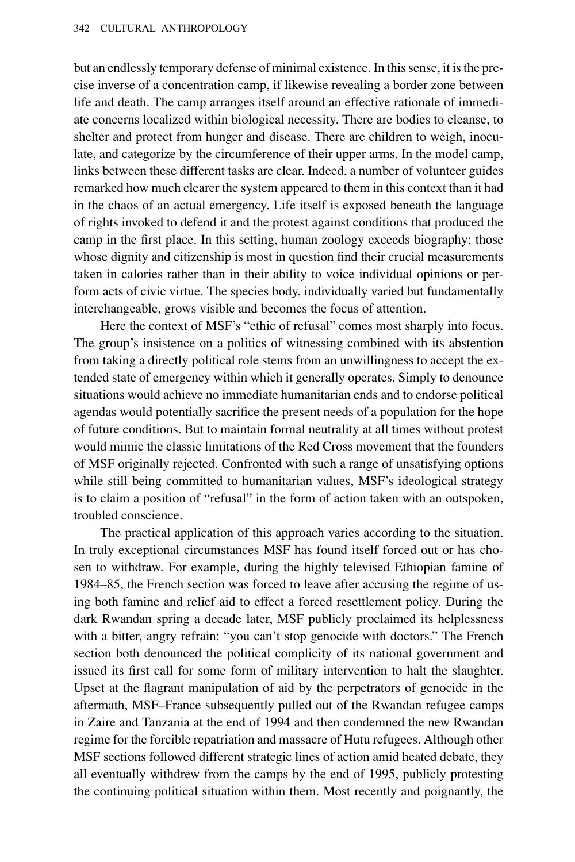but an endlessly temporary defense of minimal existence. In this sense, it is the precise inverse of a concentration camp, if likewise revealing a border zone between life and death. The camp arranges itself around an effective rationale of immediate concerns localized within biological necessity. There are bodies to cleanse, to shelter and protect from hunger and disease. There are children to weigh, inoculate, and categorize by the circumference of their upper arms. In the model camp, links between these different tasks are clear. Indeed, a number of volunteer guides remarked how much clearer the system appeared to them in this context than it had in the chaos of an actual emergency. Life itself is exposed beneath the language of rights invoked to defend it and the protest against conditions that produced the camp in the first place. In this setting, human zoology exceeds biography: those whose dignity and citizenship is most in question find their crucial measurements taken in calories rather than in their ability to voice individual opinions or perform acts of civic virtue. The species body, individually varied but fundamentally interchangeable, grows visible and becomes the focus of attention.

Here the context of MSF's "ethic of refusal" comes most sharply into focus. The group's insistence on a politics of witnessing combined with its abstention from taking a directly political role stems from an unwillingness to accept the extended state of emergency within which it generally operates. Simply to denounce situations would achieve no immediate humanitarian ends and to endorse political agendas would potentially sacrifice the present needs of a population for the hope of future conditions. But to maintain formal neutrality at all times without protest would mimic the classic limitations of the Red Cross movement that the founders of MSF originally rejected. Confronted with such a range of unsatisfying options while still being committed to humanitarian values, MSF's ideological strategy is to claim a position of "refusal" in the form of action taken with an outspoken, troubled conscience.

The practical application of this approach varies according to the situation. In truly exceptional circumstances MSF has found itself forced out or has chosen to withdraw. For example, during the highly televised Ethiopian famine of 1984–85, the French section was forced to leave after accusing the regime of using both famine and relief aid to effect a forced resettlement policy. During the dark Rwandan spring a decade later, MSF publicly proclaimed its helplessness with a bitter, angry refrain: "you can't stop genocide with doctors." The French section both denounced the political complicity of its national government and issued its first call for some form of military intervention to halt the slaughter. Upset at the flagrant manipulation of aid by the perpetrators of genocide in the aftermath, MSF–France subsequently pulled out of the Rwandan refugee camps in Zaire and Tanzania at the end of 1994 and then condemned the new Rwandan regime for the forcible repatriation and massacre of Hutu refugees. Although other MSF sections followed different strategic lines of action amid heated debate, they all eventually withdrew from the camps by the end of 1995, publicly protesting the continuing political situation within them. Most recently and poignantly, the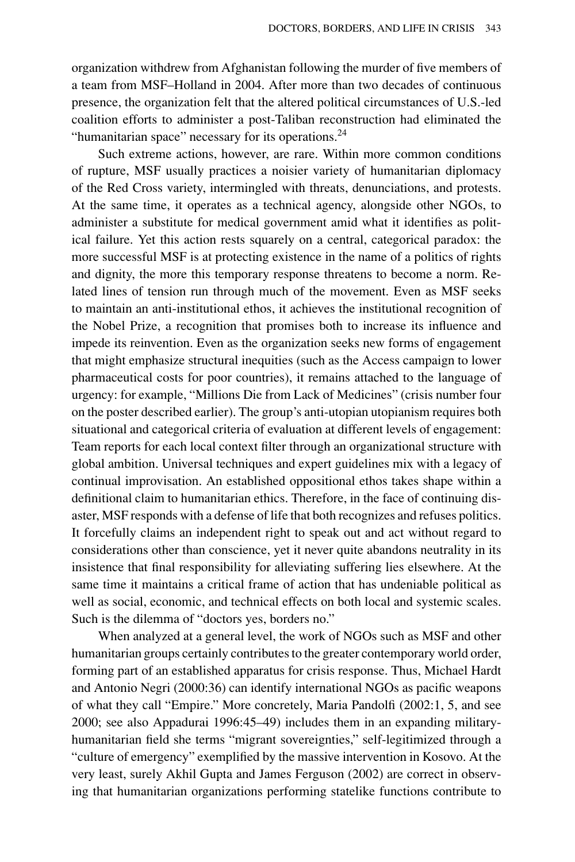organization withdrew from Afghanistan following the murder of five members of a team from MSF–Holland in 2004. After more than two decades of continuous presence, the organization felt that the altered political circumstances of U.S.-led coalition efforts to administer a post-Taliban reconstruction had eliminated the "humanitarian space" necessary for its operations. $24$ 

Such extreme actions, however, are rare. Within more common conditions of rupture, MSF usually practices a noisier variety of humanitarian diplomacy of the Red Cross variety, intermingled with threats, denunciations, and protests. At the same time, it operates as a technical agency, alongside other NGOs, to administer a substitute for medical government amid what it identifies as political failure. Yet this action rests squarely on a central, categorical paradox: the more successful MSF is at protecting existence in the name of a politics of rights and dignity, the more this temporary response threatens to become a norm. Related lines of tension run through much of the movement. Even as MSF seeks to maintain an anti-institutional ethos, it achieves the institutional recognition of the Nobel Prize, a recognition that promises both to increase its influence and impede its reinvention. Even as the organization seeks new forms of engagement that might emphasize structural inequities (such as the Access campaign to lower pharmaceutical costs for poor countries), it remains attached to the language of urgency: for example, "Millions Die from Lack of Medicines" (crisis number four on the poster described earlier). The group's anti-utopian utopianism requires both situational and categorical criteria of evaluation at different levels of engagement: Team reports for each local context filter through an organizational structure with global ambition. Universal techniques and expert guidelines mix with a legacy of continual improvisation. An established oppositional ethos takes shape within a definitional claim to humanitarian ethics. Therefore, in the face of continuing disaster, MSF responds with a defense of life that both recognizes and refuses politics. It forcefully claims an independent right to speak out and act without regard to considerations other than conscience, yet it never quite abandons neutrality in its insistence that final responsibility for alleviating suffering lies elsewhere. At the same time it maintains a critical frame of action that has undeniable political as well as social, economic, and technical effects on both local and systemic scales. Such is the dilemma of "doctors yes, borders no."

When analyzed at a general level, the work of NGOs such as MSF and other humanitarian groups certainly contributes to the greater contemporary world order, forming part of an established apparatus for crisis response. Thus, Michael Hardt and Antonio Negri (2000:36) can identify international NGOs as pacific weapons of what they call "Empire." More concretely, Maria Pandolfi (2002:1, 5, and see 2000; see also Appadurai 1996:45–49) includes them in an expanding militaryhumanitarian field she terms "migrant sovereignties," self-legitimized through a "culture of emergency" exemplified by the massive intervention in Kosovo. At the very least, surely Akhil Gupta and James Ferguson (2002) are correct in observing that humanitarian organizations performing statelike functions contribute to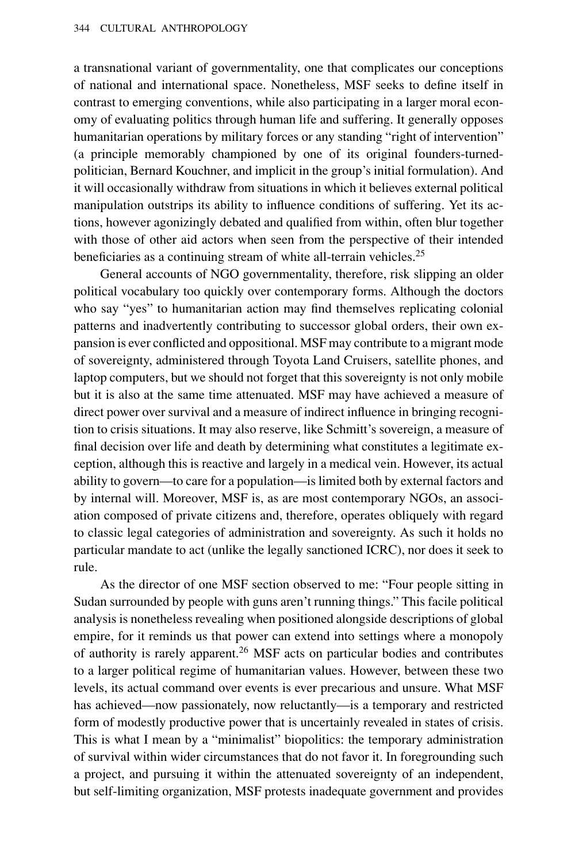a transnational variant of governmentality, one that complicates our conceptions of national and international space. Nonetheless, MSF seeks to define itself in contrast to emerging conventions, while also participating in a larger moral economy of evaluating politics through human life and suffering. It generally opposes humanitarian operations by military forces or any standing "right of intervention" (a principle memorably championed by one of its original founders-turnedpolitician, Bernard Kouchner, and implicit in the group's initial formulation). And it will occasionally withdraw from situations in which it believes external political manipulation outstrips its ability to influence conditions of suffering. Yet its actions, however agonizingly debated and qualified from within, often blur together with those of other aid actors when seen from the perspective of their intended beneficiaries as a continuing stream of white all-terrain vehicles.<sup>25</sup>

General accounts of NGO governmentality, therefore, risk slipping an older political vocabulary too quickly over contemporary forms. Although the doctors who say "yes" to humanitarian action may find themselves replicating colonial patterns and inadvertently contributing to successor global orders, their own expansion is ever conflicted and oppositional. MSF may contribute to a migrant mode of sovereignty, administered through Toyota Land Cruisers, satellite phones, and laptop computers, but we should not forget that this sovereignty is not only mobile but it is also at the same time attenuated. MSF may have achieved a measure of direct power over survival and a measure of indirect influence in bringing recognition to crisis situations. It may also reserve, like Schmitt's sovereign, a measure of final decision over life and death by determining what constitutes a legitimate exception, although this is reactive and largely in a medical vein. However, its actual ability to govern—to care for a population—is limited both by external factors and by internal will. Moreover, MSF is, as are most contemporary NGOs, an association composed of private citizens and, therefore, operates obliquely with regard to classic legal categories of administration and sovereignty. As such it holds no particular mandate to act (unlike the legally sanctioned ICRC), nor does it seek to rule.

As the director of one MSF section observed to me: "Four people sitting in Sudan surrounded by people with guns aren't running things." This facile political analysis is nonetheless revealing when positioned alongside descriptions of global empire, for it reminds us that power can extend into settings where a monopoly of authority is rarely apparent.<sup>26</sup> MSF acts on particular bodies and contributes to a larger political regime of humanitarian values. However, between these two levels, its actual command over events is ever precarious and unsure. What MSF has achieved—now passionately, now reluctantly—is a temporary and restricted form of modestly productive power that is uncertainly revealed in states of crisis. This is what I mean by a "minimalist" biopolitics: the temporary administration of survival within wider circumstances that do not favor it. In foregrounding such a project, and pursuing it within the attenuated sovereignty of an independent, but self-limiting organization, MSF protests inadequate government and provides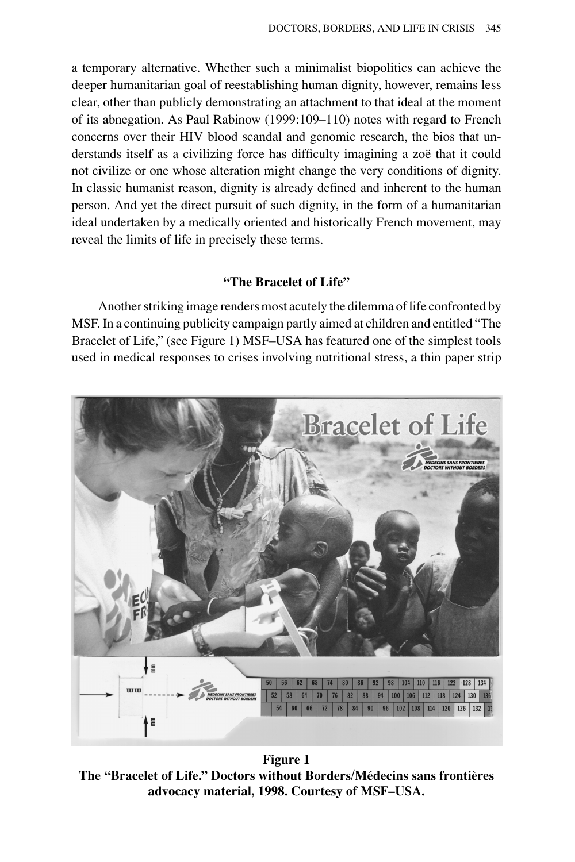a temporary alternative. Whether such a minimalist biopolitics can achieve the deeper humanitarian goal of reestablishing human dignity, however, remains less clear, other than publicly demonstrating an attachment to that ideal at the moment of its abnegation. As Paul Rabinow (1999:109–110) notes with regard to French concerns over their HIV blood scandal and genomic research, the bios that understands itself as a civilizing force has difficulty imagining a zoë that it could not civilize or one whose alteration might change the very conditions of dignity. In classic humanist reason, dignity is already defined and inherent to the human person. And yet the direct pursuit of such dignity, in the form of a humanitarian ideal undertaken by a medically oriented and historically French movement, may reveal the limits of life in precisely these terms.

### **"The Bracelet of Life"**

Another striking image renders most acutely the dilemma of life confronted by MSF. In a continuing publicity campaign partly aimed at children and entitled "The Bracelet of Life," (see Figure 1) MSF–USA has featured one of the simplest tools used in medical responses to crises involving nutritional stress, a thin paper strip



**Figure 1 The "Bracelet of Life." Doctors without Borders/Médecins sans frontières advocacy material, 1998. Courtesy of MSF–USA.**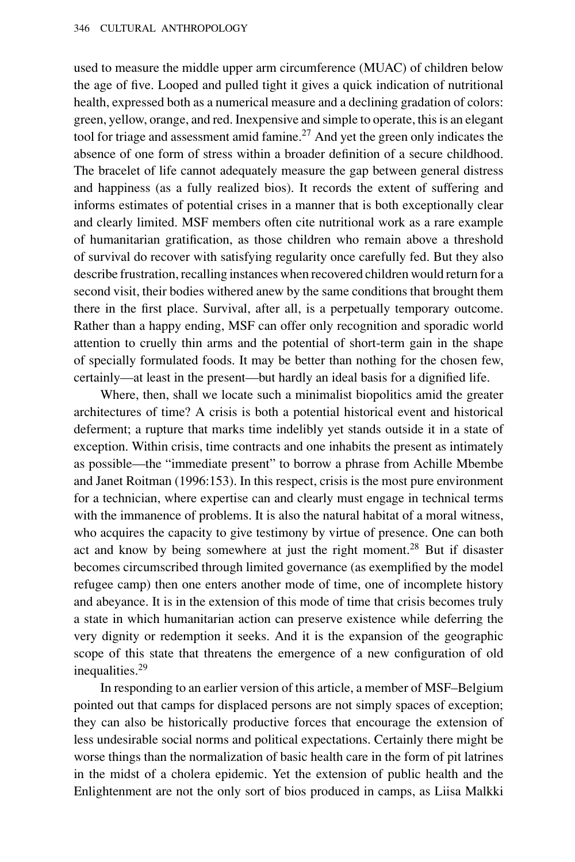used to measure the middle upper arm circumference (MUAC) of children below the age of five. Looped and pulled tight it gives a quick indication of nutritional health, expressed both as a numerical measure and a declining gradation of colors: green, yellow, orange, and red. Inexpensive and simple to operate, this is an elegant tool for triage and assessment amid famine.<sup>27</sup> And yet the green only indicates the absence of one form of stress within a broader definition of a secure childhood. The bracelet of life cannot adequately measure the gap between general distress and happiness (as a fully realized bios). It records the extent of suffering and informs estimates of potential crises in a manner that is both exceptionally clear and clearly limited. MSF members often cite nutritional work as a rare example of humanitarian gratification, as those children who remain above a threshold of survival do recover with satisfying regularity once carefully fed. But they also describe frustration, recalling instances when recovered children would return for a second visit, their bodies withered anew by the same conditions that brought them there in the first place. Survival, after all, is a perpetually temporary outcome. Rather than a happy ending, MSF can offer only recognition and sporadic world attention to cruelly thin arms and the potential of short-term gain in the shape of specially formulated foods. It may be better than nothing for the chosen few, certainly—at least in the present—but hardly an ideal basis for a dignified life.

Where, then, shall we locate such a minimalist biopolitics amid the greater architectures of time? A crisis is both a potential historical event and historical deferment; a rupture that marks time indelibly yet stands outside it in a state of exception. Within crisis, time contracts and one inhabits the present as intimately as possible—the "immediate present" to borrow a phrase from Achille Mbembe and Janet Roitman (1996:153). In this respect, crisis is the most pure environment for a technician, where expertise can and clearly must engage in technical terms with the immanence of problems. It is also the natural habitat of a moral witness, who acquires the capacity to give testimony by virtue of presence. One can both act and know by being somewhere at just the right moment.<sup>28</sup> But if disaster becomes circumscribed through limited governance (as exemplified by the model refugee camp) then one enters another mode of time, one of incomplete history and abeyance. It is in the extension of this mode of time that crisis becomes truly a state in which humanitarian action can preserve existence while deferring the very dignity or redemption it seeks. And it is the expansion of the geographic scope of this state that threatens the emergence of a new configuration of old inequalities.29

In responding to an earlier version of this article, a member of MSF–Belgium pointed out that camps for displaced persons are not simply spaces of exception; they can also be historically productive forces that encourage the extension of less undesirable social norms and political expectations. Certainly there might be worse things than the normalization of basic health care in the form of pit latrines in the midst of a cholera epidemic. Yet the extension of public health and the Enlightenment are not the only sort of bios produced in camps, as Liisa Malkki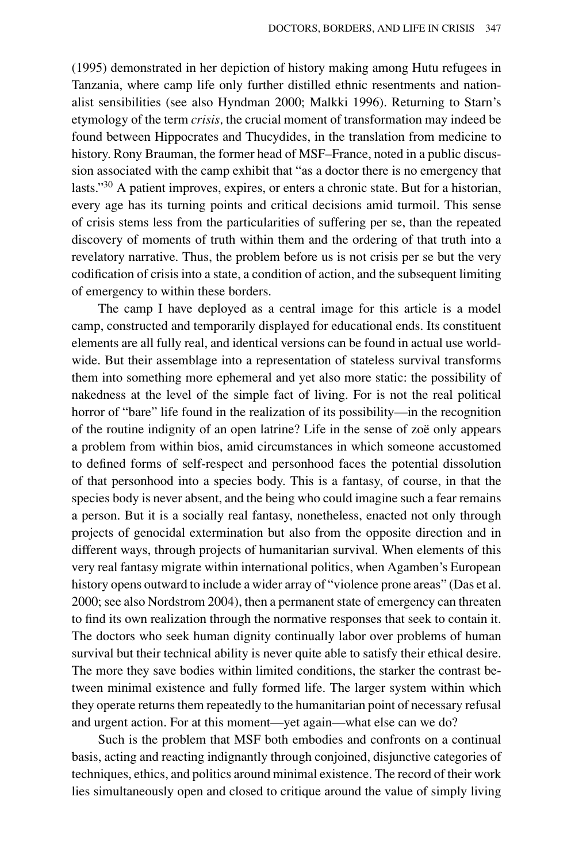(1995) demonstrated in her depiction of history making among Hutu refugees in Tanzania, where camp life only further distilled ethnic resentments and nationalist sensibilities (see also Hyndman 2000; Malkki 1996). Returning to Starn's etymology of the term *crisis,* the crucial moment of transformation may indeed be found between Hippocrates and Thucydides, in the translation from medicine to history. Rony Brauman, the former head of MSF–France, noted in a public discussion associated with the camp exhibit that "as a doctor there is no emergency that lasts."<sup>30</sup> A patient improves, expires, or enters a chronic state. But for a historian, every age has its turning points and critical decisions amid turmoil. This sense of crisis stems less from the particularities of suffering per se, than the repeated discovery of moments of truth within them and the ordering of that truth into a revelatory narrative. Thus, the problem before us is not crisis per se but the very codification of crisis into a state, a condition of action, and the subsequent limiting of emergency to within these borders.

The camp I have deployed as a central image for this article is a model camp, constructed and temporarily displayed for educational ends. Its constituent elements are all fully real, and identical versions can be found in actual use worldwide. But their assemblage into a representation of stateless survival transforms them into something more ephemeral and yet also more static: the possibility of nakedness at the level of the simple fact of living. For is not the real political horror of "bare" life found in the realization of its possibility—in the recognition of the routine indignity of an open latrine? Life in the sense of zoë only appears a problem from within bios, amid circumstances in which someone accustomed to defined forms of self-respect and personhood faces the potential dissolution of that personhood into a species body. This is a fantasy, of course, in that the species body is never absent, and the being who could imagine such a fear remains a person. But it is a socially real fantasy, nonetheless, enacted not only through projects of genocidal extermination but also from the opposite direction and in different ways, through projects of humanitarian survival. When elements of this very real fantasy migrate within international politics, when Agamben's European history opens outward to include a wider array of "violence prone areas" (Das et al. 2000; see also Nordstrom 2004), then a permanent state of emergency can threaten to find its own realization through the normative responses that seek to contain it. The doctors who seek human dignity continually labor over problems of human survival but their technical ability is never quite able to satisfy their ethical desire. The more they save bodies within limited conditions, the starker the contrast between minimal existence and fully formed life. The larger system within which they operate returns them repeatedly to the humanitarian point of necessary refusal and urgent action. For at this moment—yet again—what else can we do?

Such is the problem that MSF both embodies and confronts on a continual basis, acting and reacting indignantly through conjoined, disjunctive categories of techniques, ethics, and politics around minimal existence. The record of their work lies simultaneously open and closed to critique around the value of simply living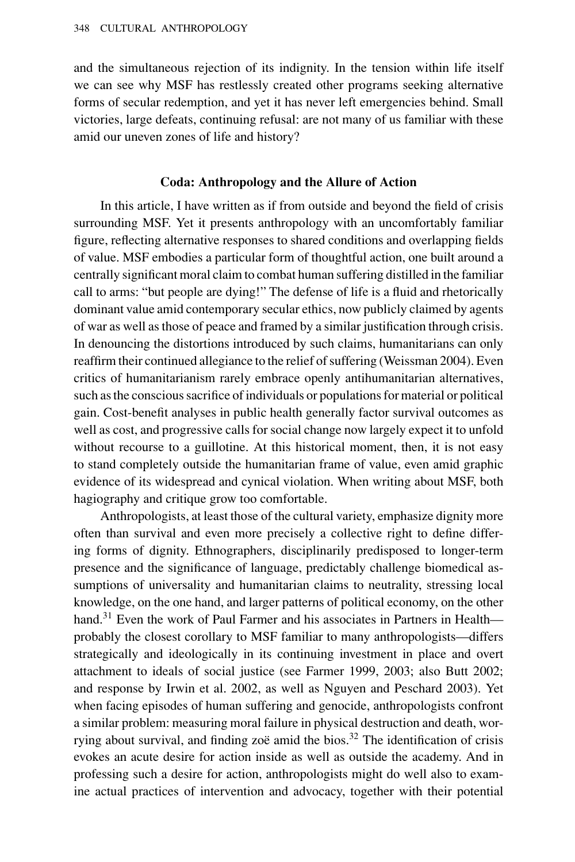and the simultaneous rejection of its indignity. In the tension within life itself we can see why MSF has restlessly created other programs seeking alternative forms of secular redemption, and yet it has never left emergencies behind. Small victories, large defeats, continuing refusal: are not many of us familiar with these amid our uneven zones of life and history?

## **Coda: Anthropology and the Allure of Action**

In this article, I have written as if from outside and beyond the field of crisis surrounding MSF. Yet it presents anthropology with an uncomfortably familiar figure, reflecting alternative responses to shared conditions and overlapping fields of value. MSF embodies a particular form of thoughtful action, one built around a centrally significant moral claim to combat human suffering distilled in the familiar call to arms: "but people are dying!" The defense of life is a fluid and rhetorically dominant value amid contemporary secular ethics, now publicly claimed by agents of war as well as those of peace and framed by a similar justification through crisis. In denouncing the distortions introduced by such claims, humanitarians can only reaffirm their continued allegiance to the relief of suffering (Weissman 2004). Even critics of humanitarianism rarely embrace openly antihumanitarian alternatives, such as the conscious sacrifice of individuals or populations for material or political gain. Cost-benefit analyses in public health generally factor survival outcomes as well as cost, and progressive calls for social change now largely expect it to unfold without recourse to a guillotine. At this historical moment, then, it is not easy to stand completely outside the humanitarian frame of value, even amid graphic evidence of its widespread and cynical violation. When writing about MSF, both hagiography and critique grow too comfortable.

Anthropologists, at least those of the cultural variety, emphasize dignity more often than survival and even more precisely a collective right to define differing forms of dignity. Ethnographers, disciplinarily predisposed to longer-term presence and the significance of language, predictably challenge biomedical assumptions of universality and humanitarian claims to neutrality, stressing local knowledge, on the one hand, and larger patterns of political economy, on the other hand.<sup>31</sup> Even the work of Paul Farmer and his associates in Partners in Health probably the closest corollary to MSF familiar to many anthropologists—differs strategically and ideologically in its continuing investment in place and overt attachment to ideals of social justice (see Farmer 1999, 2003; also Butt 2002; and response by Irwin et al. 2002, as well as Nguyen and Peschard 2003). Yet when facing episodes of human suffering and genocide, anthropologists confront a similar problem: measuring moral failure in physical destruction and death, worrying about survival, and finding zoë amid the bios. $32$  The identification of crisis evokes an acute desire for action inside as well as outside the academy. And in professing such a desire for action, anthropologists might do well also to examine actual practices of intervention and advocacy, together with their potential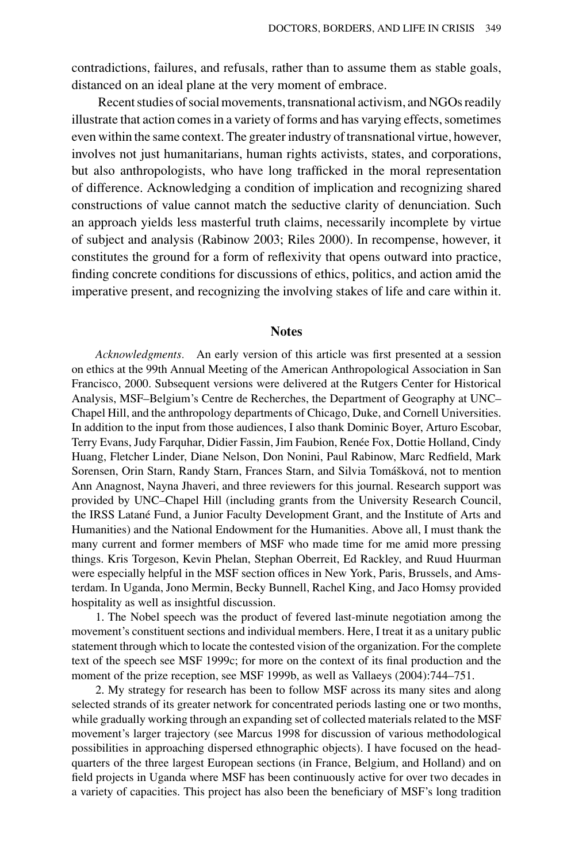contradictions, failures, and refusals, rather than to assume them as stable goals, distanced on an ideal plane at the very moment of embrace.

Recent studies of social movements, transnational activism, and NGOs readily illustrate that action comes in a variety of forms and has varying effects, sometimes even within the same context. The greater industry of transnational virtue, however, involves not just humanitarians, human rights activists, states, and corporations, but also anthropologists, who have long trafficked in the moral representation of difference. Acknowledging a condition of implication and recognizing shared constructions of value cannot match the seductive clarity of denunciation. Such an approach yields less masterful truth claims, necessarily incomplete by virtue of subject and analysis (Rabinow 2003; Riles 2000). In recompense, however, it constitutes the ground for a form of reflexivity that opens outward into practice, finding concrete conditions for discussions of ethics, politics, and action amid the imperative present, and recognizing the involving stakes of life and care within it.

### **Notes**

*Acknowledgments.* An early version of this article was first presented at a session on ethics at the 99th Annual Meeting of the American Anthropological Association in San Francisco, 2000. Subsequent versions were delivered at the Rutgers Center for Historical Analysis, MSF–Belgium's Centre de Recherches, the Department of Geography at UNC– Chapel Hill, and the anthropology departments of Chicago, Duke, and Cornell Universities. In addition to the input from those audiences, I also thank Dominic Boyer, Arturo Escobar, Terry Evans, Judy Farquhar, Didier Fassin, Jim Faubion, Ren´ee Fox, Dottie Holland, Cindy Huang, Fletcher Linder, Diane Nelson, Don Nonini, Paul Rabinow, Marc Redfield, Mark Sorensen, Orin Starn, Randy Starn, Frances Starn, and Silvia Tomášková, not to mention Ann Anagnost, Nayna Jhaveri, and three reviewers for this journal. Research support was provided by UNC–Chapel Hill (including grants from the University Research Council, the IRSS Latan´e Fund, a Junior Faculty Development Grant, and the Institute of Arts and Humanities) and the National Endowment for the Humanities. Above all, I must thank the many current and former members of MSF who made time for me amid more pressing things. Kris Torgeson, Kevin Phelan, Stephan Oberreit, Ed Rackley, and Ruud Huurman were especially helpful in the MSF section offices in New York, Paris, Brussels, and Amsterdam. In Uganda, Jono Mermin, Becky Bunnell, Rachel King, and Jaco Homsy provided hospitality as well as insightful discussion.

1. The Nobel speech was the product of fevered last-minute negotiation among the movement's constituent sections and individual members. Here, I treat it as a unitary public statement through which to locate the contested vision of the organization. For the complete text of the speech see MSF 1999c; for more on the context of its final production and the moment of the prize reception, see MSF 1999b, as well as Vallaeys (2004):744–751.

2. My strategy for research has been to follow MSF across its many sites and along selected strands of its greater network for concentrated periods lasting one or two months, while gradually working through an expanding set of collected materials related to the MSF movement's larger trajectory (see Marcus 1998 for discussion of various methodological possibilities in approaching dispersed ethnographic objects). I have focused on the headquarters of the three largest European sections (in France, Belgium, and Holland) and on field projects in Uganda where MSF has been continuously active for over two decades in a variety of capacities. This project has also been the beneficiary of MSF's long tradition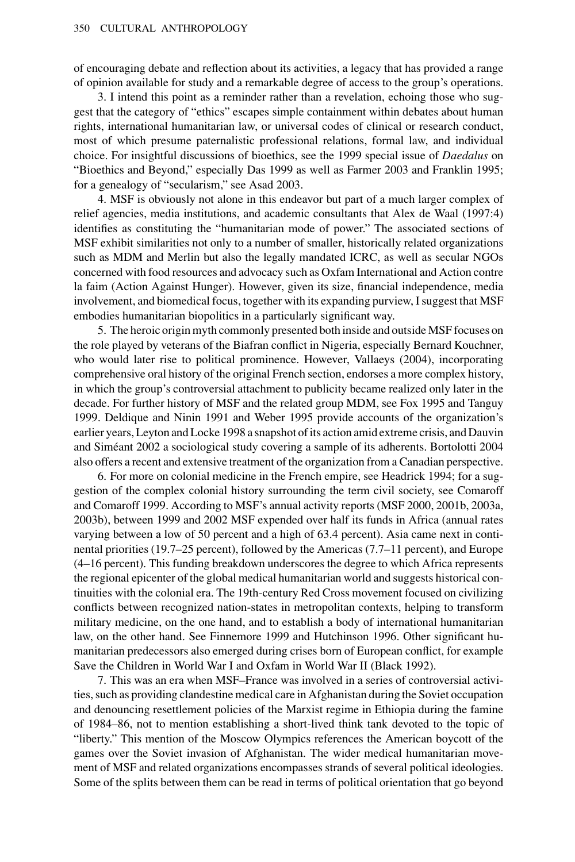of encouraging debate and reflection about its activities, a legacy that has provided a range of opinion available for study and a remarkable degree of access to the group's operations.

3. I intend this point as a reminder rather than a revelation, echoing those who suggest that the category of "ethics" escapes simple containment within debates about human rights, international humanitarian law, or universal codes of clinical or research conduct, most of which presume paternalistic professional relations, formal law, and individual choice. For insightful discussions of bioethics, see the 1999 special issue of *Daedalus* on "Bioethics and Beyond," especially Das 1999 as well as Farmer 2003 and Franklin 1995; for a genealogy of "secularism," see Asad 2003.

4. MSF is obviously not alone in this endeavor but part of a much larger complex of relief agencies, media institutions, and academic consultants that Alex de Waal (1997:4) identifies as constituting the "humanitarian mode of power." The associated sections of MSF exhibit similarities not only to a number of smaller, historically related organizations such as MDM and Merlin but also the legally mandated ICRC, as well as secular NGOs concerned with food resources and advocacy such as Oxfam International and Action contre la faim (Action Against Hunger). However, given its size, financial independence, media involvement, and biomedical focus, together with its expanding purview, I suggest that MSF embodies humanitarian biopolitics in a particularly significant way.

5. The heroic origin myth commonly presented both inside and outside MSF focuses on the role played by veterans of the Biafran conflict in Nigeria, especially Bernard Kouchner, who would later rise to political prominence. However, Vallaeys (2004), incorporating comprehensive oral history of the original French section, endorses a more complex history, in which the group's controversial attachment to publicity became realized only later in the decade. For further history of MSF and the related group MDM, see Fox 1995 and Tanguy 1999. Deldique and Ninin 1991 and Weber 1995 provide accounts of the organization's earlier years, Leyton and Locke 1998 a snapshot of its action amid extreme crisis, and Dauvin and Sim´eant 2002 a sociological study covering a sample of its adherents. Bortolotti 2004 also offers a recent and extensive treatment of the organization from a Canadian perspective.

6. For more on colonial medicine in the French empire, see Headrick 1994; for a suggestion of the complex colonial history surrounding the term civil society, see Comaroff and Comaroff 1999. According to MSF's annual activity reports (MSF 2000, 2001b, 2003a, 2003b), between 1999 and 2002 MSF expended over half its funds in Africa (annual rates varying between a low of 50 percent and a high of 63.4 percent). Asia came next in continental priorities (19.7–25 percent), followed by the Americas (7.7–11 percent), and Europe (4–16 percent). This funding breakdown underscores the degree to which Africa represents the regional epicenter of the global medical humanitarian world and suggests historical continuities with the colonial era. The 19th-century Red Cross movement focused on civilizing conflicts between recognized nation-states in metropolitan contexts, helping to transform military medicine, on the one hand, and to establish a body of international humanitarian law, on the other hand. See Finnemore 1999 and Hutchinson 1996. Other significant humanitarian predecessors also emerged during crises born of European conflict, for example Save the Children in World War I and Oxfam in World War II (Black 1992).

7. This was an era when MSF–France was involved in a series of controversial activities, such as providing clandestine medical care in Afghanistan during the Soviet occupation and denouncing resettlement policies of the Marxist regime in Ethiopia during the famine of 1984–86, not to mention establishing a short-lived think tank devoted to the topic of "liberty." This mention of the Moscow Olympics references the American boycott of the games over the Soviet invasion of Afghanistan. The wider medical humanitarian movement of MSF and related organizations encompasses strands of several political ideologies. Some of the splits between them can be read in terms of political orientation that go beyond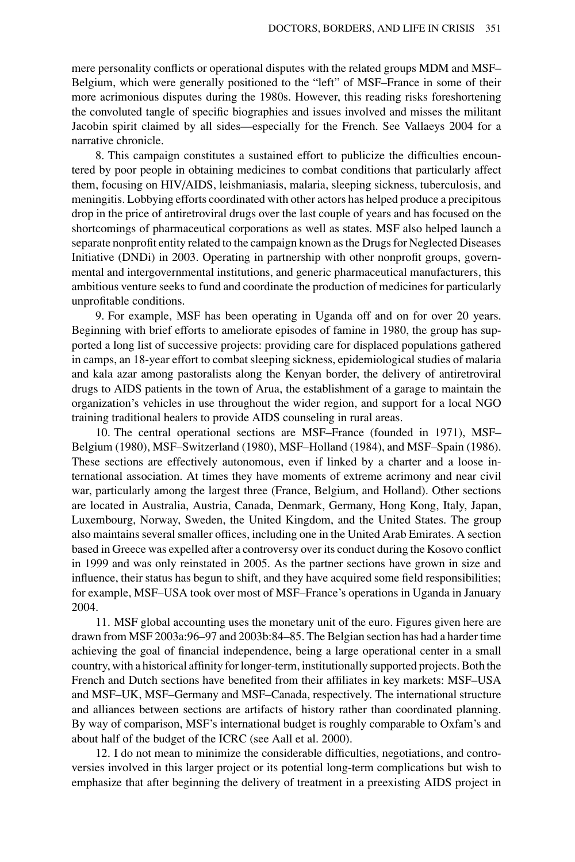mere personality conflicts or operational disputes with the related groups MDM and MSF– Belgium, which were generally positioned to the "left" of MSF–France in some of their more acrimonious disputes during the 1980s. However, this reading risks foreshortening the convoluted tangle of specific biographies and issues involved and misses the militant Jacobin spirit claimed by all sides—especially for the French. See Vallaeys 2004 for a narrative chronicle.

8. This campaign constitutes a sustained effort to publicize the difficulties encountered by poor people in obtaining medicines to combat conditions that particularly affect them, focusing on HIV/AIDS, leishmaniasis, malaria, sleeping sickness, tuberculosis, and meningitis. Lobbying efforts coordinated with other actors has helped produce a precipitous drop in the price of antiretroviral drugs over the last couple of years and has focused on the shortcomings of pharmaceutical corporations as well as states. MSF also helped launch a separate nonprofit entity related to the campaign known as the Drugs for Neglected Diseases Initiative (DNDi) in 2003. Operating in partnership with other nonprofit groups, governmental and intergovernmental institutions, and generic pharmaceutical manufacturers, this ambitious venture seeks to fund and coordinate the production of medicines for particularly unprofitable conditions.

9. For example, MSF has been operating in Uganda off and on for over 20 years. Beginning with brief efforts to ameliorate episodes of famine in 1980, the group has supported a long list of successive projects: providing care for displaced populations gathered in camps, an 18-year effort to combat sleeping sickness, epidemiological studies of malaria and kala azar among pastoralists along the Kenyan border, the delivery of antiretroviral drugs to AIDS patients in the town of Arua, the establishment of a garage to maintain the organization's vehicles in use throughout the wider region, and support for a local NGO training traditional healers to provide AIDS counseling in rural areas.

10. The central operational sections are MSF–France (founded in 1971), MSF– Belgium (1980), MSF–Switzerland (1980), MSF–Holland (1984), and MSF–Spain (1986). These sections are effectively autonomous, even if linked by a charter and a loose international association. At times they have moments of extreme acrimony and near civil war, particularly among the largest three (France, Belgium, and Holland). Other sections are located in Australia, Austria, Canada, Denmark, Germany, Hong Kong, Italy, Japan, Luxembourg, Norway, Sweden, the United Kingdom, and the United States. The group also maintains several smaller offices, including one in the United Arab Emirates. A section based in Greece was expelled after a controversy over its conduct during the Kosovo conflict in 1999 and was only reinstated in 2005. As the partner sections have grown in size and influence, their status has begun to shift, and they have acquired some field responsibilities; for example, MSF–USA took over most of MSF–France's operations in Uganda in January 2004.

11. MSF global accounting uses the monetary unit of the euro. Figures given here are drawn from MSF 2003a:96–97 and 2003b:84–85. The Belgian section has had a harder time achieving the goal of financial independence, being a large operational center in a small country, with a historical affinity for longer-term, institutionally supported projects. Both the French and Dutch sections have benefited from their affiliates in key markets: MSF–USA and MSF–UK, MSF–Germany and MSF–Canada, respectively. The international structure and alliances between sections are artifacts of history rather than coordinated planning. By way of comparison, MSF's international budget is roughly comparable to Oxfam's and about half of the budget of the ICRC (see Aall et al. 2000).

12. I do not mean to minimize the considerable difficulties, negotiations, and controversies involved in this larger project or its potential long-term complications but wish to emphasize that after beginning the delivery of treatment in a preexisting AIDS project in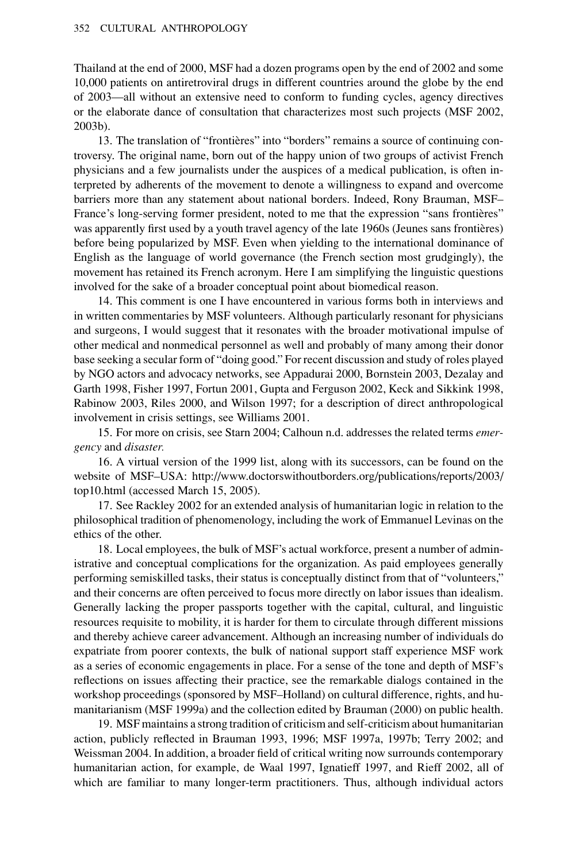Thailand at the end of 2000, MSF had a dozen programs open by the end of 2002 and some 10,000 patients on antiretroviral drugs in different countries around the globe by the end of 2003—all without an extensive need to conform to funding cycles, agency directives or the elaborate dance of consultation that characterizes most such projects (MSF 2002, 2003b).

13. The translation of "frontières" into "borders" remains a source of continuing controversy. The original name, born out of the happy union of two groups of activist French physicians and a few journalists under the auspices of a medical publication, is often interpreted by adherents of the movement to denote a willingness to expand and overcome barriers more than any statement about national borders. Indeed, Rony Brauman, MSF– France's long-serving former president, noted to me that the expression "sans frontières" was apparently first used by a youth travel agency of the late 1960s (Jeunes sans frontières) before being popularized by MSF. Even when yielding to the international dominance of English as the language of world governance (the French section most grudgingly), the movement has retained its French acronym. Here I am simplifying the linguistic questions involved for the sake of a broader conceptual point about biomedical reason.

14. This comment is one I have encountered in various forms both in interviews and in written commentaries by MSF volunteers. Although particularly resonant for physicians and surgeons, I would suggest that it resonates with the broader motivational impulse of other medical and nonmedical personnel as well and probably of many among their donor base seeking a secular form of "doing good." For recent discussion and study of roles played by NGO actors and advocacy networks, see Appadurai 2000, Bornstein 2003, Dezalay and Garth 1998, Fisher 1997, Fortun 2001, Gupta and Ferguson 2002, Keck and Sikkink 1998, Rabinow 2003, Riles 2000, and Wilson 1997; for a description of direct anthropological involvement in crisis settings, see Williams 2001.

15. For more on crisis, see Starn 2004; Calhoun n.d. addresses the related terms *emergency* and *disaster.*

16. A virtual version of the 1999 list, along with its successors, can be found on the website of MSF–USA: http://www.doctorswithoutborders.org/publications/reports/2003/ top10.html (accessed March 15, 2005).

17. See Rackley 2002 for an extended analysis of humanitarian logic in relation to the philosophical tradition of phenomenology, including the work of Emmanuel Levinas on the ethics of the other.

18. Local employees, the bulk of MSF's actual workforce, present a number of administrative and conceptual complications for the organization. As paid employees generally performing semiskilled tasks, their status is conceptually distinct from that of "volunteers," and their concerns are often perceived to focus more directly on labor issues than idealism. Generally lacking the proper passports together with the capital, cultural, and linguistic resources requisite to mobility, it is harder for them to circulate through different missions and thereby achieve career advancement. Although an increasing number of individuals do expatriate from poorer contexts, the bulk of national support staff experience MSF work as a series of economic engagements in place. For a sense of the tone and depth of MSF's reflections on issues affecting their practice, see the remarkable dialogs contained in the workshop proceedings (sponsored by MSF–Holland) on cultural difference, rights, and humanitarianism (MSF 1999a) and the collection edited by Brauman (2000) on public health.

19. MSF maintains a strong tradition of criticism and self-criticism about humanitarian action, publicly reflected in Brauman 1993, 1996; MSF 1997a, 1997b; Terry 2002; and Weissman 2004. In addition, a broader field of critical writing now surrounds contemporary humanitarian action, for example, de Waal 1997, Ignatieff 1997, and Rieff 2002, all of which are familiar to many longer-term practitioners. Thus, although individual actors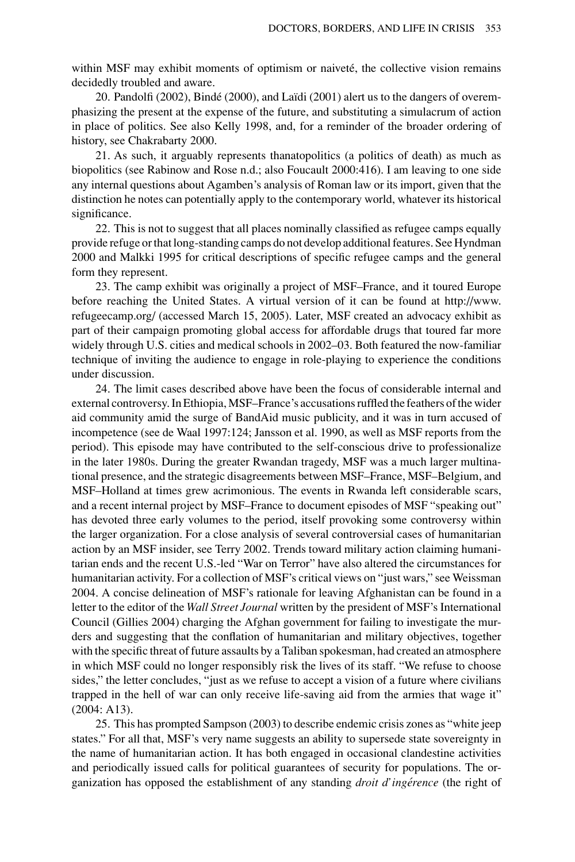within MSF may exhibit moments of optimism or naiveté, the collective vision remains decidedly troubled and aware.

20. Pandolfi (2002), Bindé (2000), and Laïdi (2001) alert us to the dangers of overemphasizing the present at the expense of the future, and substituting a simulacrum of action in place of politics. See also Kelly 1998, and, for a reminder of the broader ordering of history, see Chakrabarty 2000.

21. As such, it arguably represents thanatopolitics (a politics of death) as much as biopolitics (see Rabinow and Rose n.d.; also Foucault 2000:416). I am leaving to one side any internal questions about Agamben's analysis of Roman law or its import, given that the distinction he notes can potentially apply to the contemporary world, whatever its historical significance.

22. This is not to suggest that all places nominally classified as refugee camps equally provide refuge or that long-standing camps do not develop additional features. See Hyndman 2000 and Malkki 1995 for critical descriptions of specific refugee camps and the general form they represent.

23. The camp exhibit was originally a project of MSF–France, and it toured Europe before reaching the United States. A virtual version of it can be found at http://www. refugeecamp.org/ (accessed March 15, 2005). Later, MSF created an advocacy exhibit as part of their campaign promoting global access for affordable drugs that toured far more widely through U.S. cities and medical schools in 2002–03. Both featured the now-familiar technique of inviting the audience to engage in role-playing to experience the conditions under discussion.

24. The limit cases described above have been the focus of considerable internal and external controversy. In Ethiopia, MSF–France's accusations ruffled the feathers of the wider aid community amid the surge of BandAid music publicity, and it was in turn accused of incompetence (see de Waal 1997:124; Jansson et al. 1990, as well as MSF reports from the period). This episode may have contributed to the self-conscious drive to professionalize in the later 1980s. During the greater Rwandan tragedy, MSF was a much larger multinational presence, and the strategic disagreements between MSF–France, MSF–Belgium, and MSF–Holland at times grew acrimonious. The events in Rwanda left considerable scars, and a recent internal project by MSF–France to document episodes of MSF "speaking out" has devoted three early volumes to the period, itself provoking some controversy within the larger organization. For a close analysis of several controversial cases of humanitarian action by an MSF insider, see Terry 2002. Trends toward military action claiming humanitarian ends and the recent U.S.-led "War on Terror" have also altered the circumstances for humanitarian activity. For a collection of MSF's critical views on "just wars," see Weissman 2004. A concise delineation of MSF's rationale for leaving Afghanistan can be found in a letter to the editor of the *Wall Street Journal* written by the president of MSF's International Council (Gillies 2004) charging the Afghan government for failing to investigate the murders and suggesting that the conflation of humanitarian and military objectives, together with the specific threat of future assaults by a Taliban spokesman, had created an atmosphere in which MSF could no longer responsibly risk the lives of its staff. "We refuse to choose sides," the letter concludes, "just as we refuse to accept a vision of a future where civilians trapped in the hell of war can only receive life-saving aid from the armies that wage it" (2004: A13).

25. This has prompted Sampson (2003) to describe endemic crisis zones as "white jeep states." For all that, MSF's very name suggests an ability to supersede state sovereignty in the name of humanitarian action. It has both engaged in occasional clandestine activities and periodically issued calls for political guarantees of security for populations. The organization has opposed the establishment of any standing *droit d'ingerence ´* (the right of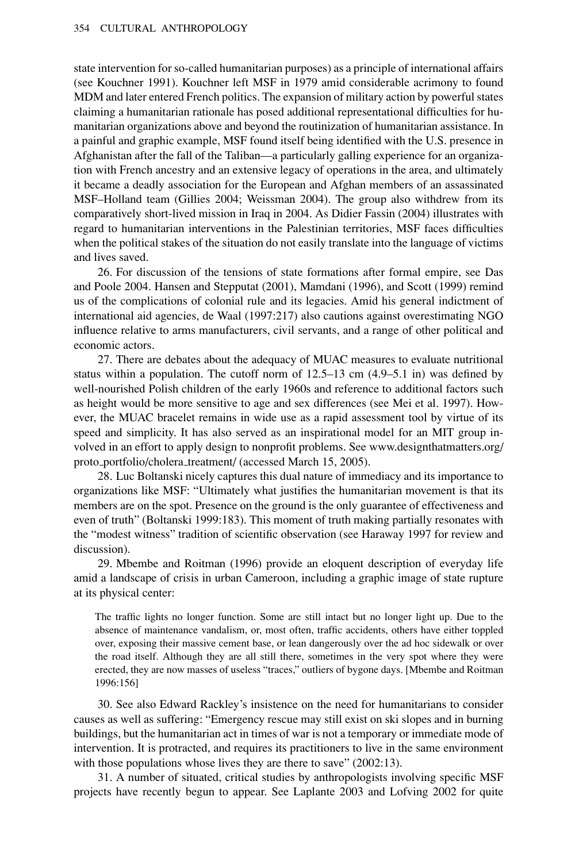state intervention for so-called humanitarian purposes) as a principle of international affairs (see Kouchner 1991). Kouchner left MSF in 1979 amid considerable acrimony to found MDM and later entered French politics. The expansion of military action by powerful states claiming a humanitarian rationale has posed additional representational difficulties for humanitarian organizations above and beyond the routinization of humanitarian assistance. In a painful and graphic example, MSF found itself being identified with the U.S. presence in Afghanistan after the fall of the Taliban—a particularly galling experience for an organization with French ancestry and an extensive legacy of operations in the area, and ultimately it became a deadly association for the European and Afghan members of an assassinated MSF–Holland team (Gillies 2004; Weissman 2004). The group also withdrew from its comparatively short-lived mission in Iraq in 2004. As Didier Fassin (2004) illustrates with regard to humanitarian interventions in the Palestinian territories, MSF faces difficulties when the political stakes of the situation do not easily translate into the language of victims and lives saved.

26. For discussion of the tensions of state formations after formal empire, see Das and Poole 2004. Hansen and Stepputat (2001), Mamdani (1996), and Scott (1999) remind us of the complications of colonial rule and its legacies. Amid his general indictment of international aid agencies, de Waal (1997:217) also cautions against overestimating NGO influence relative to arms manufacturers, civil servants, and a range of other political and economic actors.

27. There are debates about the adequacy of MUAC measures to evaluate nutritional status within a population. The cutoff norm of 12.5–13 cm (4.9–5.1 in) was defined by well-nourished Polish children of the early 1960s and reference to additional factors such as height would be more sensitive to age and sex differences (see Mei et al. 1997). However, the MUAC bracelet remains in wide use as a rapid assessment tool by virtue of its speed and simplicity. It has also served as an inspirational model for an MIT group involved in an effort to apply design to nonprofit problems. See www.designthatmatters.org/ proto portfolio/cholera treatment/ (accessed March 15, 2005).

28. Luc Boltanski nicely captures this dual nature of immediacy and its importance to organizations like MSF: "Ultimately what justifies the humanitarian movement is that its members are on the spot. Presence on the ground is the only guarantee of effectiveness and even of truth" (Boltanski 1999:183). This moment of truth making partially resonates with the "modest witness" tradition of scientific observation (see Haraway 1997 for review and discussion).

29. Mbembe and Roitman (1996) provide an eloquent description of everyday life amid a landscape of crisis in urban Cameroon, including a graphic image of state rupture at its physical center:

The traffic lights no longer function. Some are still intact but no longer light up. Due to the absence of maintenance vandalism, or, most often, traffic accidents, others have either toppled over, exposing their massive cement base, or lean dangerously over the ad hoc sidewalk or over the road itself. Although they are all still there, sometimes in the very spot where they were erected, they are now masses of useless "traces," outliers of bygone days. [Mbembe and Roitman 1996:156]

30. See also Edward Rackley's insistence on the need for humanitarians to consider causes as well as suffering: "Emergency rescue may still exist on ski slopes and in burning buildings, but the humanitarian act in times of war is not a temporary or immediate mode of intervention. It is protracted, and requires its practitioners to live in the same environment with those populations whose lives they are there to save" (2002:13).

31. A number of situated, critical studies by anthropologists involving specific MSF projects have recently begun to appear. See Laplante 2003 and Lofving 2002 for quite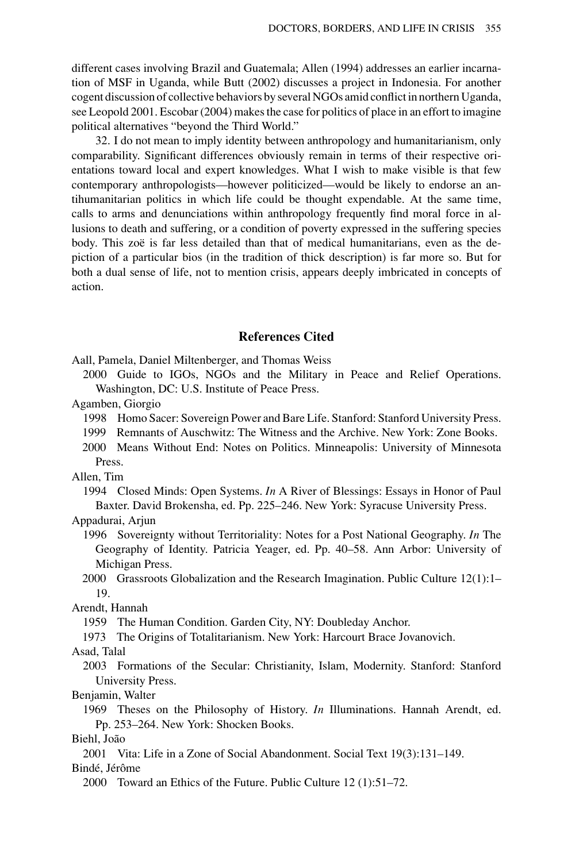different cases involving Brazil and Guatemala; Allen (1994) addresses an earlier incarnation of MSF in Uganda, while Butt (2002) discusses a project in Indonesia. For another cogent discussion of collective behaviors by several NGOs amid conflict in northern Uganda, see Leopold 2001. Escobar (2004) makes the case for politics of place in an effort to imagine political alternatives "beyond the Third World."

32. I do not mean to imply identity between anthropology and humanitarianism, only comparability. Significant differences obviously remain in terms of their respective orientations toward local and expert knowledges. What I wish to make visible is that few contemporary anthropologists—however politicized—would be likely to endorse an antihumanitarian politics in which life could be thought expendable. At the same time, calls to arms and denunciations within anthropology frequently find moral force in allusions to death and suffering, or a condition of poverty expressed in the suffering species body. This zoë is far less detailed than that of medical humanitarians, even as the depiction of a particular bios (in the tradition of thick description) is far more so. But for both a dual sense of life, not to mention crisis, appears deeply imbricated in concepts of action.

### **References Cited**

Aall, Pamela, Daniel Miltenberger, and Thomas Weiss

2000 Guide to IGOs, NGOs and the Military in Peace and Relief Operations. Washington, DC: U.S. Institute of Peace Press.

Agamben, Giorgio

1998 Homo Sacer: Sovereign Power and Bare Life. Stanford: Stanford University Press.

1999 Remnants of Auschwitz: The Witness and the Archive. New York: Zone Books.

2000 Means Without End: Notes on Politics. Minneapolis: University of Minnesota Press.

Allen, Tim

1994 Closed Minds: Open Systems. *In* A River of Blessings: Essays in Honor of Paul Baxter. David Brokensha, ed. Pp. 225–246. New York: Syracuse University Press.

Appadurai, Arjun

1996 Sovereignty without Territoriality: Notes for a Post National Geography. *In* The Geography of Identity. Patricia Yeager, ed. Pp. 40–58. Ann Arbor: University of Michigan Press.

2000 Grassroots Globalization and the Research Imagination. Public Culture 12(1):1– 19.

Arendt, Hannah

1959 The Human Condition. Garden City, NY: Doubleday Anchor.

1973 The Origins of Totalitarianism. New York: Harcourt Brace Jovanovich.

Asad, Talal

2003 Formations of the Secular: Christianity, Islam, Modernity. Stanford: Stanford University Press.

Benjamin, Walter

1969 Theses on the Philosophy of History. *In* Illuminations. Hannah Arendt, ed. Pp. 253–264. New York: Shocken Books.

Biehl, Jo˜ao

2001 Vita: Life in a Zone of Social Abandonment. Social Text 19(3):131–149.

Bindé, Jérôme

2000 Toward an Ethics of the Future. Public Culture 12 (1):51–72.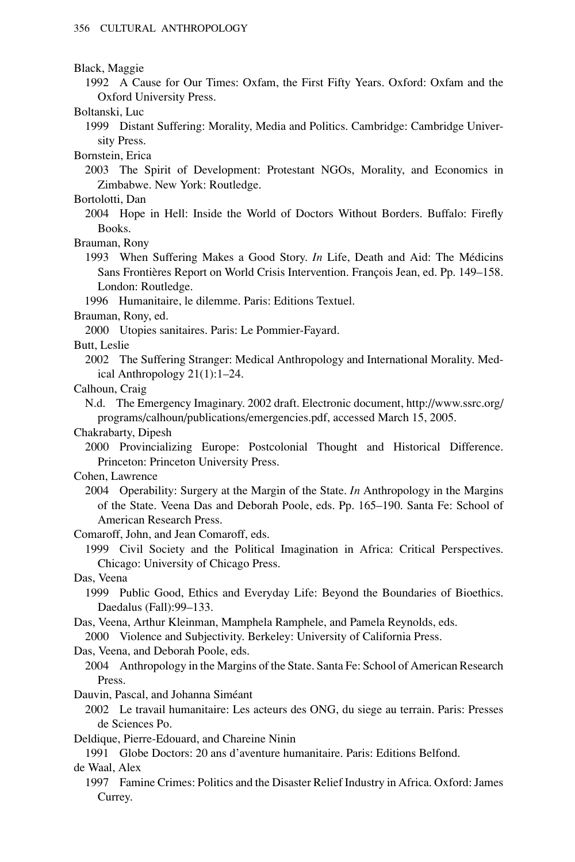Black, Maggie

1992 A Cause for Our Times: Oxfam, the First Fifty Years. Oxford: Oxfam and the Oxford University Press.

Boltanski, Luc

1999 Distant Suffering: Morality, Media and Politics. Cambridge: Cambridge University Press.

Bornstein, Erica

2003 The Spirit of Development: Protestant NGOs, Morality, and Economics in Zimbabwe. New York: Routledge.

Bortolotti, Dan

2004 Hope in Hell: Inside the World of Doctors Without Borders. Buffalo: Firefly Books.

Brauman, Rony

1993 When Suffering Makes a Good Story. *In* Life, Death and Aid: The Médicins Sans Frontières Report on World Crisis Intervention. François Jean, ed. Pp. 149–158. London: Routledge.

1996 Humanitaire, le dilemme. Paris: Editions Textuel.

Brauman, Rony, ed.

2000 Utopies sanitaires. Paris: Le Pommier-Fayard.

Butt, Leslie

2002 The Suffering Stranger: Medical Anthropology and International Morality. Medical Anthropology 21(1):1–24.

Calhoun, Craig

N.d. The Emergency Imaginary. 2002 draft. Electronic document, http://www.ssrc.org/ programs/calhoun/publications/emergencies.pdf, accessed March 15, 2005.

Chakrabarty, Dipesh

2000 Provincializing Europe: Postcolonial Thought and Historical Difference. Princeton: Princeton University Press.

Cohen, Lawrence

2004 Operability: Surgery at the Margin of the State. *In* Anthropology in the Margins of the State. Veena Das and Deborah Poole, eds. Pp. 165–190. Santa Fe: School of American Research Press.

Comaroff, John, and Jean Comaroff, eds.

1999 Civil Society and the Political Imagination in Africa: Critical Perspectives. Chicago: University of Chicago Press.

Das, Veena

1999 Public Good, Ethics and Everyday Life: Beyond the Boundaries of Bioethics. Daedalus (Fall):99–133.

Das, Veena, Arthur Kleinman, Mamphela Ramphele, and Pamela Reynolds, eds.

2000 Violence and Subjectivity. Berkeley: University of California Press.

Das, Veena, and Deborah Poole, eds.

2004 Anthropology in the Margins of the State. Santa Fe: School of American Research Press.

Dauvin, Pascal, and Johanna Siméant

2002 Le travail humanitaire: Les acteurs des ONG, du siege au terrain. Paris: Presses de Sciences Po.

Deldique, Pierre-Edouard, and Chareine Ninin

1991 Globe Doctors: 20 ans d'aventure humanitaire. Paris: Editions Belfond.

de Waal, Alex

1997 Famine Crimes: Politics and the Disaster Relief Industry in Africa. Oxford: James Currey.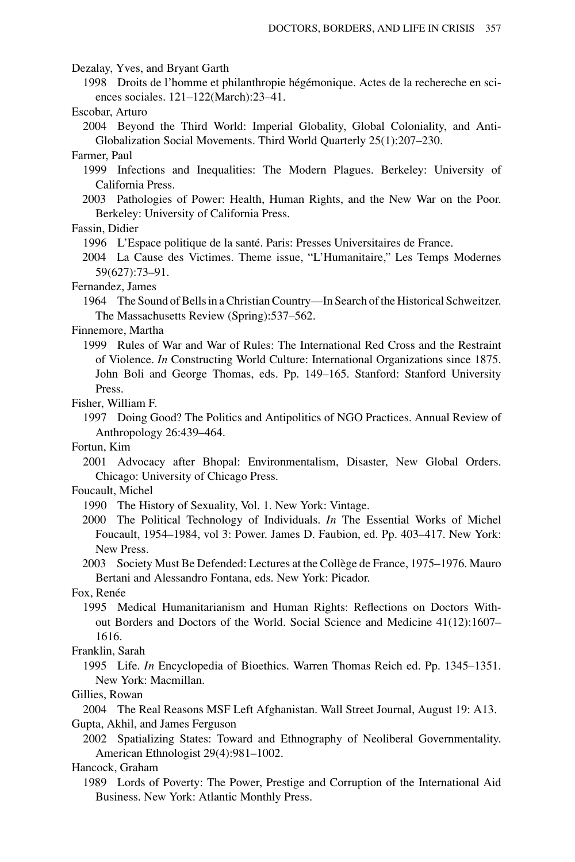Dezalay, Yves, and Bryant Garth

1998 Droits de l'homme et philanthropie hégémonique. Actes de la rechereche en sciences sociales. 121–122(March):23–41.

#### Escobar, Arturo

2004 Beyond the Third World: Imperial Globality, Global Coloniality, and Anti-Globalization Social Movements. Third World Quarterly 25(1):207–230.

### Farmer, Paul

1999 Infections and Inequalities: The Modern Plagues. Berkeley: University of California Press.

2003 Pathologies of Power: Health, Human Rights, and the New War on the Poor. Berkeley: University of California Press.

Fassin, Didier

1996 L'Espace politique de la santé. Paris: Presses Universitaires de France.

2004 La Cause des Victimes. Theme issue, "L'Humanitaire," Les Temps Modernes 59(627):73–91.

Fernandez, James

1964 The Sound of Bells in a Christian Country—In Search of the Historical Schweitzer. The Massachusetts Review (Spring):537–562.

Finnemore, Martha

1999 Rules of War and War of Rules: The International Red Cross and the Restraint of Violence. *In* Constructing World Culture: International Organizations since 1875. John Boli and George Thomas, eds. Pp. 149–165. Stanford: Stanford University Press.

Fisher, William F.

1997 Doing Good? The Politics and Antipolitics of NGO Practices. Annual Review of Anthropology 26:439–464.

Fortun, Kim

2001 Advocacy after Bhopal: Environmentalism, Disaster, New Global Orders. Chicago: University of Chicago Press.

Foucault, Michel

1990 The History of Sexuality, Vol. 1. New York: Vintage.

2000 The Political Technology of Individuals. *In* The Essential Works of Michel Foucault, 1954–1984, vol 3: Power. James D. Faubion, ed. Pp. 403–417. New York: New Press.

2003 Society Must Be Defended: Lectures at the Collège de France, 1975–1976. Mauro Bertani and Alessandro Fontana, eds. New York: Picador.

Fox, Renée

1995 Medical Humanitarianism and Human Rights: Reflections on Doctors Without Borders and Doctors of the World. Social Science and Medicine 41(12):1607– 1616.

Franklin, Sarah

1995 Life. *In* Encyclopedia of Bioethics. Warren Thomas Reich ed. Pp. 1345–1351. New York: Macmillan.

Gillies, Rowan

2004 The Real Reasons MSF Left Afghanistan. Wall Street Journal, August 19: A13. Gupta, Akhil, and James Ferguson

2002 Spatializing States: Toward and Ethnography of Neoliberal Governmentality. American Ethnologist 29(4):981–1002.

Hancock, Graham

1989 Lords of Poverty: The Power, Prestige and Corruption of the International Aid Business. New York: Atlantic Monthly Press.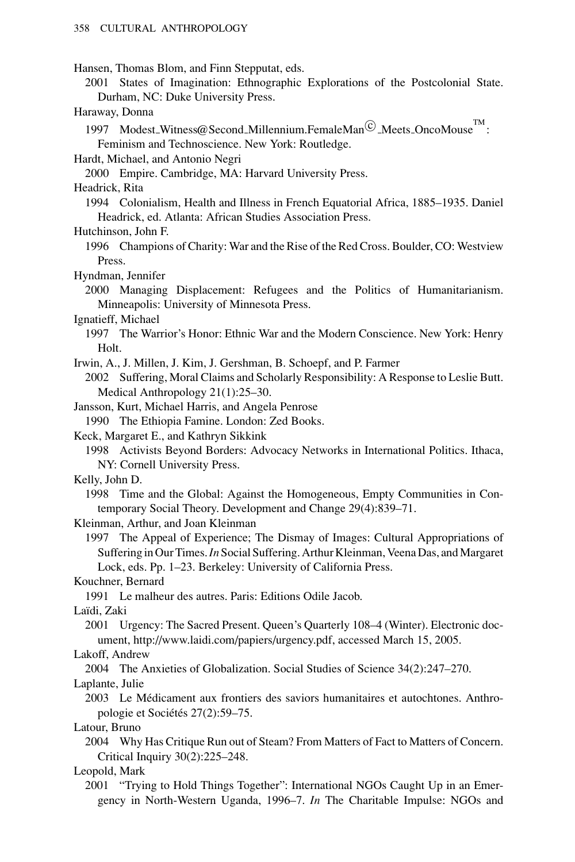Hansen, Thomas Blom, and Finn Stepputat, eds.

- 2001 States of Imagination: Ethnographic Explorations of the Postcolonial State. Durham, NC: Duke University Press.
- Haraway, Donna
	- 1997 Modest\_Witness@Second\_Millennium.FemaleMan<sup>CO</sup>\_Meets\_OncoMouse<sup>TM</sup>: Feminism and Technoscience. New York: Routledge.
- Hardt, Michael, and Antonio Negri
	- 2000 Empire. Cambridge, MA: Harvard University Press.
- Headrick, Rita
	- 1994 Colonialism, Health and Illness in French Equatorial Africa, 1885–1935. Daniel Headrick, ed. Atlanta: African Studies Association Press.
- Hutchinson, John F.
	- 1996 Champions of Charity: War and the Rise of the Red Cross. Boulder, CO: Westview Press.
- Hyndman, Jennifer
	- 2000 Managing Displacement: Refugees and the Politics of Humanitarianism. Minneapolis: University of Minnesota Press.
- Ignatieff, Michael
	- 1997 The Warrior's Honor: Ethnic War and the Modern Conscience. New York: Henry Holt.
- Irwin, A., J. Millen, J. Kim, J. Gershman, B. Schoepf, and P. Farmer
	- 2002 Suffering, Moral Claims and Scholarly Responsibility: A Response to Leslie Butt. Medical Anthropology 21(1):25–30.
- Jansson, Kurt, Michael Harris, and Angela Penrose
	- 1990 The Ethiopia Famine. London: Zed Books.
- Keck, Margaret E., and Kathryn Sikkink
	- 1998 Activists Beyond Borders: Advocacy Networks in International Politics. Ithaca, NY: Cornell University Press.
- Kelly, John D.
	- 1998 Time and the Global: Against the Homogeneous, Empty Communities in Contemporary Social Theory. Development and Change 29(4):839–71.
- Kleinman, Arthur, and Joan Kleinman
	- 1997 The Appeal of Experience; The Dismay of Images: Cultural Appropriations of Suffering in Our Times.*In* Social Suffering. Arthur Kleinman, Veena Das, and Margaret Lock, eds. Pp. 1–23. Berkeley: University of California Press.
- Kouchner, Bernard
	- 1991 Le malheur des autres. Paris: Editions Odile Jacob.
- Laïdi, Zaki
	- 2001 Urgency: The Sacred Present. Queen's Quarterly 108–4 (Winter). Electronic document, http://www.laidi.com/papiers/urgency.pdf, accessed March 15, 2005.
- Lakoff, Andrew
- 2004 The Anxieties of Globalization. Social Studies of Science 34(2):247–270.
- Laplante, Julie
	- 2003 Le Médicament aux frontiers des saviors humanitaires et autochtones. Anthropologie et Sociétés 27(2):59–75.
- Latour, Bruno
	- 2004 Why Has Critique Run out of Steam? From Matters of Fact to Matters of Concern. Critical Inquiry 30(2):225–248.
- Leopold, Mark
	- 2001 "Trying to Hold Things Together": International NGOs Caught Up in an Emergency in North-Western Uganda, 1996–7. *In* The Charitable Impulse: NGOs and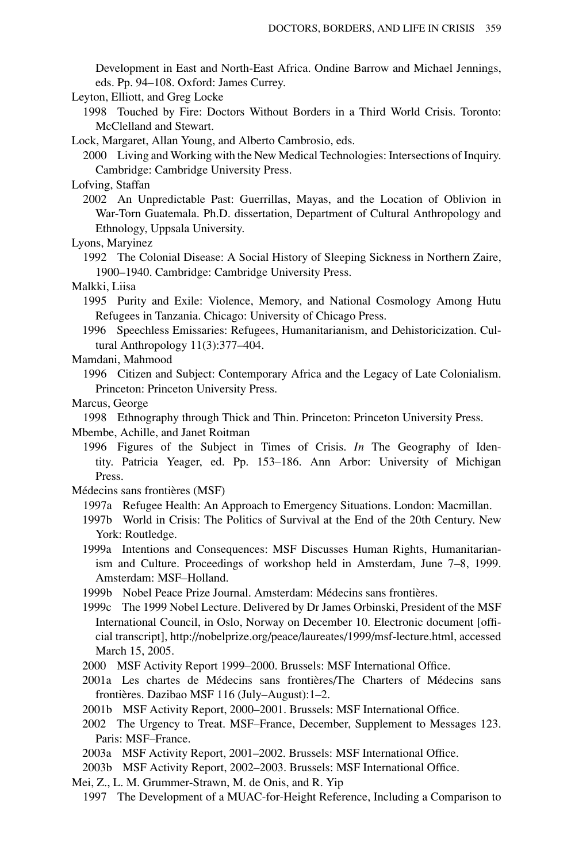Development in East and North-East Africa. Ondine Barrow and Michael Jennings, eds. Pp. 94–108. Oxford: James Currey.

Leyton, Elliott, and Greg Locke

1998 Touched by Fire: Doctors Without Borders in a Third World Crisis. Toronto: McClelland and Stewart.

Lock, Margaret, Allan Young, and Alberto Cambrosio, eds.

2000 Living and Working with the New Medical Technologies: Intersections of Inquiry. Cambridge: Cambridge University Press.

Lofving, Staffan

2002 An Unpredictable Past: Guerrillas, Mayas, and the Location of Oblivion in War-Torn Guatemala. Ph.D. dissertation, Department of Cultural Anthropology and Ethnology, Uppsala University.

Lyons, Maryinez

1992 The Colonial Disease: A Social History of Sleeping Sickness in Northern Zaire, 1900–1940. Cambridge: Cambridge University Press.

Malkki, Liisa

- 1995 Purity and Exile: Violence, Memory, and National Cosmology Among Hutu Refugees in Tanzania. Chicago: University of Chicago Press.
- 1996 Speechless Emissaries: Refugees, Humanitarianism, and Dehistoricization. Cultural Anthropology 11(3):377–404.
- Mamdani, Mahmood
	- 1996 Citizen and Subject: Contemporary Africa and the Legacy of Late Colonialism. Princeton: Princeton University Press.

Marcus, George

1998 Ethnography through Thick and Thin. Princeton: Princeton University Press. Mbembe, Achille, and Janet Roitman

- 1996 Figures of the Subject in Times of Crisis. *In* The Geography of Identity. Patricia Yeager, ed. Pp. 153–186. Ann Arbor: University of Michigan Press.
- Médecins sans frontières (MSF)
	- 1997a Refugee Health: An Approach to Emergency Situations. London: Macmillan.
	- 1997b World in Crisis: The Politics of Survival at the End of the 20th Century. New York: Routledge.
	- 1999a Intentions and Consequences: MSF Discusses Human Rights, Humanitarianism and Culture. Proceedings of workshop held in Amsterdam, June 7–8, 1999. Amsterdam: MSF–Holland.
	- 1999b Nobel Peace Prize Journal. Amsterdam: Médecins sans frontières.
	- 1999c The 1999 Nobel Lecture. Delivered by Dr James Orbinski, President of the MSF International Council, in Oslo, Norway on December 10. Electronic document [official transcript], http://nobelprize.org/peace/laureates/1999/msf-lecture.html, accessed March 15, 2005.
	- 2000 MSF Activity Report 1999–2000. Brussels: MSF International Office.
	- 2001a Les chartes de Médecins sans frontières/The Charters of Médecins sans frontières. Dazibao MSF 116 (July–August):1–2.
	- 2001b MSF Activity Report, 2000–2001. Brussels: MSF International Office.
	- 2002 The Urgency to Treat. MSF–France, December, Supplement to Messages 123. Paris: MSF–France.
	- 2003a MSF Activity Report, 2001–2002. Brussels: MSF International Office.
	- 2003b MSF Activity Report, 2002–2003. Brussels: MSF International Office.

Mei, Z., L. M. Grummer-Strawn, M. de Onis, and R. Yip

1997 The Development of a MUAC-for-Height Reference, Including a Comparison to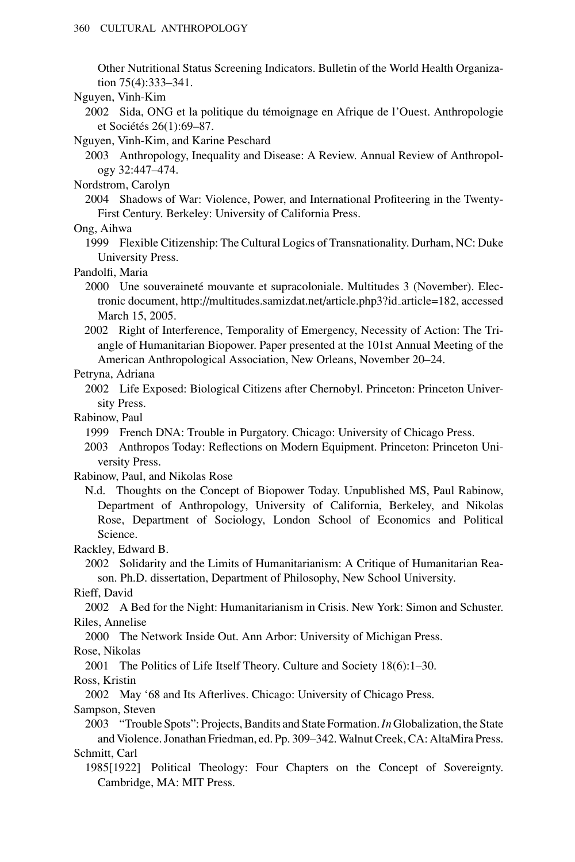Other Nutritional Status Screening Indicators. Bulletin of the World Health Organization 75(4):333–341.

Nguyen, Vinh-Kim

2002 Sida, ONG et la politique du témoignage en Afrique de l'Ouest. Anthropologie et Sociétés 26(1):69–87.

Nguyen, Vinh-Kim, and Karine Peschard

2003 Anthropology, Inequality and Disease: A Review. Annual Review of Anthropology 32:447–474.

Nordstrom, Carolyn

2004 Shadows of War: Violence, Power, and International Profiteering in the Twenty-First Century. Berkeley: University of California Press.

Ong, Aihwa

1999 Flexible Citizenship: The Cultural Logics of Transnationality. Durham, NC: Duke University Press.

Pandolfi, Maria

2000 Une souveraineté mouvante et supracoloniale. Multitudes 3 (November). Electronic document, http://multitudes.samizdat.net/article.php3?id article=182, accessed March 15, 2005.

2002 Right of Interference, Temporality of Emergency, Necessity of Action: The Triangle of Humanitarian Biopower. Paper presented at the 101st Annual Meeting of the American Anthropological Association, New Orleans, November 20–24.

Petryna, Adriana

2002 Life Exposed: Biological Citizens after Chernobyl. Princeton: Princeton University Press.

Rabinow, Paul

1999 French DNA: Trouble in Purgatory. Chicago: University of Chicago Press.

2003 Anthropos Today: Reflections on Modern Equipment. Princeton: Princeton University Press.

Rabinow, Paul, and Nikolas Rose

N.d. Thoughts on the Concept of Biopower Today. Unpublished MS, Paul Rabinow, Department of Anthropology, University of California, Berkeley, and Nikolas Rose, Department of Sociology, London School of Economics and Political Science.

Rackley, Edward B.

2002 Solidarity and the Limits of Humanitarianism: A Critique of Humanitarian Reason. Ph.D. dissertation, Department of Philosophy, New School University.

Rieff, David

2002 A Bed for the Night: Humanitarianism in Crisis. New York: Simon and Schuster. Riles, Annelise

2000 The Network Inside Out. Ann Arbor: University of Michigan Press.

Rose, Nikolas

2001 The Politics of Life Itself Theory. Culture and Society 18(6):1–30. Ross, Kristin

2002 May '68 and Its Afterlives. Chicago: University of Chicago Press.

Sampson, Steven

2003 "Trouble Spots": Projects, Bandits and State Formation.*In* Globalization, the State and Violence. Jonathan Friedman, ed. Pp. 309–342. Walnut Creek, CA: AltaMira Press. Schmitt, Carl

1985[1922] Political Theology: Four Chapters on the Concept of Sovereignty. Cambridge, MA: MIT Press.